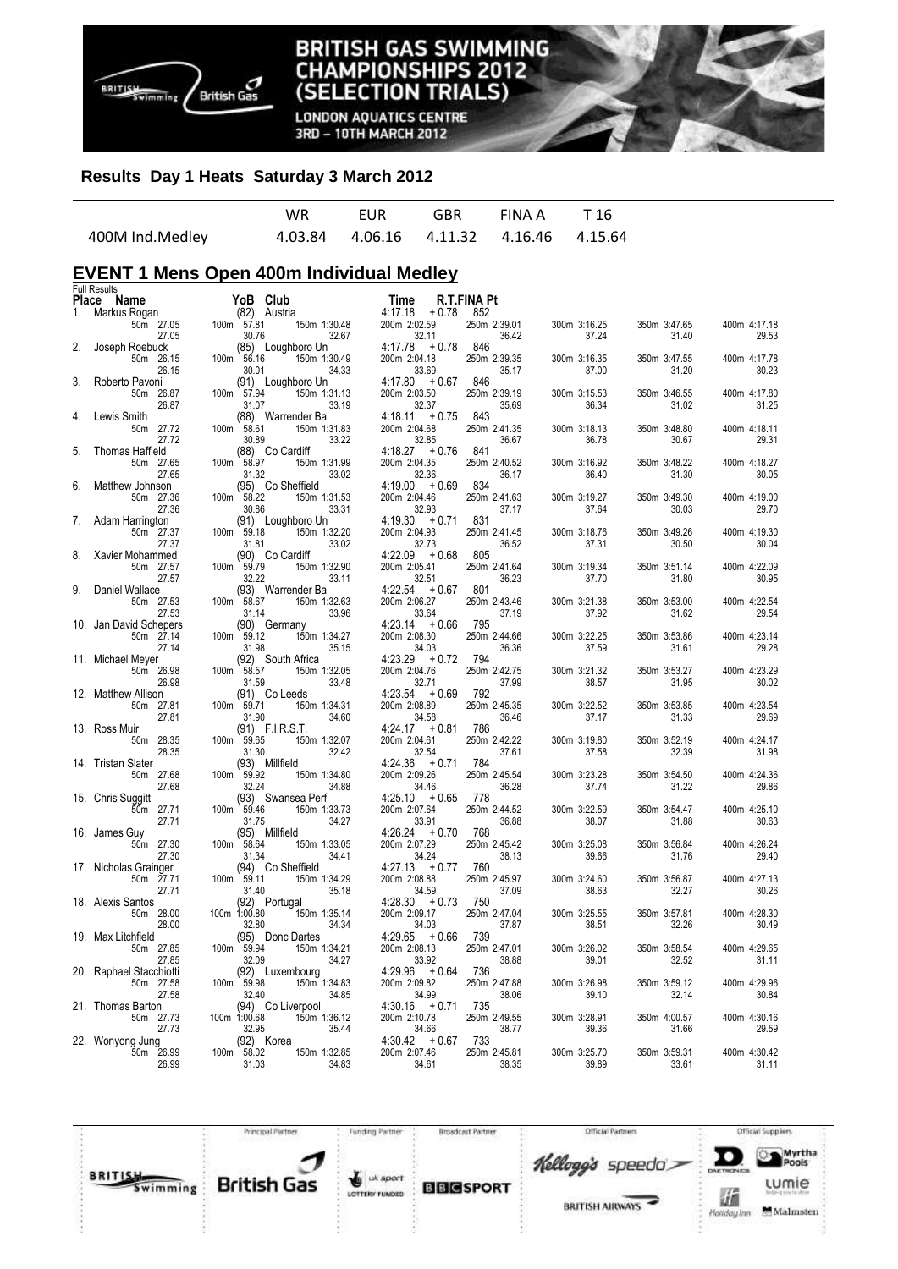

**LONDON AQUATICS CENTRE** 3RD - 10TH MARCH 2012

## **Results Day 1 Heats Saturday 3 March 2012**

|                 | WR. | <b>EUR</b> | GBR FINAIA T16                              |  |
|-----------------|-----|------------|---------------------------------------------|--|
| 400M Ind.Medley |     |            | 4.03.84  4.06.16  4.11.32  4.16.46  4.15.64 |  |

# **EVENT 1 Mens Open 400m Individual Medley**

|    | <b>Full Results</b>     |              |       |                       |                       |        |                       |                       |                       |                       |
|----|-------------------------|--------------|-------|-----------------------|-----------------------|--------|-----------------------|-----------------------|-----------------------|-----------------------|
|    | Place Name              |              |       | YoB Club              | Time                  |        | R.T.FINA Pt           |                       |                       |                       |
| 1. | Markus Rogan            |              |       | (82) Austria          | 4:17.18               | + 0.78 | 852                   |                       |                       |                       |
|    | 50m 27.05               | 100m 57.81   |       | 150m 1:30.48          | 200m 2:02.59          |        | 250m 2:39.01          | 300m 3:16.25          | 350m 3:47.65          | 400m 4:17.18          |
|    | 27.05                   |              | 30.76 | 32.67                 | 32.11                 |        | 36.42                 | 37.24                 | 31.40                 | 29.53                 |
| 2. | Joseph Roebuck          |              |       | (85) Loughboro Un     | $4:17.78 + 0.78$      |        | 846                   |                       |                       |                       |
|    | 50m 26.15               | 100m 56.16   |       | 150m 1:30.49          | 200m 2:04.18          |        | 250m 2:39.35          | 300m 3:16.35          | 350m 3:47.55          | 400m 4:17.78          |
|    | 26.15                   |              | 30.01 | 34.33                 | 33.69                 |        | 35.17                 | 37.00                 | 31.20                 | 30.23                 |
| 3. | Roberto Pavoni          |              |       | (91) Loughboro Un     | $4:17.80 + 0.67$      |        | 846                   |                       |                       |                       |
|    | 50m 26.87               | 100m 57.94   |       | 150m 1:31.13          | 200m 2:03.50          |        | 250m 2:39.19          | 300m 3:15.53          | 350m 3:46.55          | 400m 4:17.80          |
|    | 26.87                   |              | 31.07 | 33.19                 | 32.37                 |        | 35.69                 | 36.34                 | 31.02                 | 31.25                 |
| 4. | Lewis Smith             | 100m 58.61   |       | (88) Warrender Ba     | $4:18.11 + 0.75$      |        | 843                   |                       |                       |                       |
|    | 50m 27.72<br>27.72      |              | 30.89 | 150m 1:31.83<br>33.22 | 200m 2:04.68<br>32.85 |        | 250m 2:41.35<br>36.67 | 300m 3:18.13<br>36.78 | 350m 3:48.80<br>30.67 | 400m 4:18.11<br>29.31 |
| 5. | Thomas Haffield         |              |       | (88) Co Cardiff       | $4:18.27 + 0.76$      |        | 841                   |                       |                       |                       |
|    | 50m 27.65               | 100m 58.97   |       | 150m 1:31.99          | 200m 2:04.35          |        | 250m 2:40.52          | 300m 3:16.92          | 350m 3:48.22          | 400m 4:18.27          |
|    | 27.65                   |              | 31.32 | 33.02                 | 32.36                 |        | 36.17                 | 36.40                 | 31.30                 | 30.05                 |
| 6. | Matthew Johnson         |              |       | (95) Co Sheffield     | $4:19.00 + 0.69$      |        | 834                   |                       |                       |                       |
|    | 50m 27.36               | 100m 58.22   |       | 150m 1:31.53          | 200m 2:04.46          |        | 250m 2:41.63          | 300m 3:19.27          | 350m 3:49.30          | 400m 4:19.00          |
|    | 27.36                   |              | 30.86 | 33.31                 | 32.93                 |        | 37.17                 | 37.64                 | 30.03                 | 29.70                 |
| 7. | Adam Harrington         |              |       | (91) Loughboro Un     | $4:19.30 + 0.71$      |        | 831                   |                       |                       |                       |
|    | 50m 27.37               | 100m 59.18   |       | 150m 1:32.20          | 200m 2:04.93          |        | 250m 2:41.45          | 300m 3:18.76          | 350m 3:49.26          | 400m 4:19.30          |
|    | 27.37                   |              | 31.81 | 33.02                 | 32.73                 |        | 36.52                 | 37.31                 | 30.50                 | 30.04                 |
| 8. | Xavier Mohammed         |              |       | (90) Co Cardiff       | $4:22.09 + 0.68$      |        | 805                   |                       |                       |                       |
|    | 50m 27.57               | 100m 59.79   |       | 150m 1:32.90          | 200m 2:05.41          |        | 250m 2:41.64          | 300m 3:19.34          | 350m 3:51.14          | 400m 4:22.09          |
|    | 27.57                   |              | 32.22 | 33.11                 | 32.51                 |        | 36.23                 | 37.70                 | 31.80                 | 30.95                 |
| 9. | Daniel Wallace          |              |       | (93) Warrender Ba     | $4:22.54 + 0.67$      |        | 801                   |                       |                       |                       |
|    | 50m 27.53               | 100m 58.67   |       | 150m 1:32.63          | 200m 2:06.27          |        | 250m 2:43.46          | 300m 3:21.38          | 350m 3:53.00          | 400m 4:22.54          |
|    | 27.53                   |              | 31.14 | 33.96                 | 33.64                 |        | 37.19                 | 37.92                 | 31.62                 | 29.54                 |
|    | 10. Jan David Schepers  |              |       | (90) Germany          | $4:23.14 + 0.66$      |        | 795                   |                       |                       |                       |
|    | 50m 27.14               | 100m 59.12   |       | 150m 1:34.27          | 200m 2:08.30          |        | 250m 2:44.66          | 300m 3:22.25          | 350m 3:53.86          | 400m 4:23.14          |
|    | 27.14                   |              | 31.98 | 35.15                 | 34.03                 |        | 36.36<br>794          | 37.59                 | 31.61                 | 29.28                 |
|    | 11. Michael Meyer       |              |       | (92) South Africa     | $4:23.29 + 0.72$      |        |                       |                       |                       |                       |
|    | 50m 26.98<br>26.98      | 100m 58.57   | 31.59 | 150m 1:32.05<br>33.48 | 200m 2:04.76<br>32.71 |        | 250m 2:42.75<br>37.99 | 300m 3:21.32<br>38.57 | 350m 3:53.27<br>31.95 | 400m 4:23.29<br>30.02 |
|    | 12. Matthew Allison     |              |       | (91) Co Leeds         | $4:23.54 + 0.69$      |        | 792                   |                       |                       |                       |
|    | 50m 27.81               | 100m 59.71   |       | 150m 1:34.31          | 200m 2:08.89          |        | 250m 2:45.35          | 300m 3:22.52          | 350m 3:53.85          | 400m 4:23.54          |
|    | 27.81                   |              | 31.90 | 34.60                 | 34.58                 |        | 36.46                 | 37.17                 | 31.33                 | 29.69                 |
|    | 13. Ross Muir           |              |       | (91) F.I.R.S.T.       | $4:24.17 + 0.81$      |        | 786                   |                       |                       |                       |
|    | 50m 28.35               | 100m 59.65   |       | 150m 1:32.07          | 200m 2:04.61          |        | 250m 2:42.22          | 300m 3:19.80          | 350m 3:52.19          | 400m 4:24.17          |
|    | 28.35                   |              | 31.30 | 32.42                 | 32.54                 |        | 37.61                 | 37.58                 | 32.39                 | 31.98                 |
|    | 14. Tristan Slater      |              |       | (93) Millfield        | $4:24.36 + 0.71$      |        | 784                   |                       |                       |                       |
|    | 50m 27.68               | 100m 59.92   |       | 150m 1:34.80          | 200m 2:09.26          |        | 250m 2:45.54          | 300m 3:23.28          | 350m 3:54.50          | 400m 4:24.36          |
|    | 27.68                   |              | 32.24 | 34.88                 | 34.46                 |        | 36.28                 | 37.74                 | 31.22                 | 29.86                 |
|    | 15. Chris Suggitt       |              |       | (93) Swansea Perf     | $4:25.10 + 0.65$      |        | 778                   |                       |                       |                       |
|    | 50m 27.71               | 100m 59.46   |       | 150m 1:33.73          | 200m 2:07.64          |        | 250m 2:44.52          | 300m 3:22.59          | 350m 3:54.47          | 400m 4:25.10          |
|    | 27.71                   |              | 31.75 | 34.27                 | 33.91                 |        | 36.88                 | 38.07                 | 31.88                 | 30.63                 |
|    | 16. James Guy           |              |       | (95) Millfield        | $4:26.24 + 0.70$      |        | 768                   |                       |                       |                       |
|    | 50m 27.30               | 100m 58.64   |       | 150m 1:33.05          | 200m 2:07.29          |        | 250m 2:45.42          | 300m 3:25.08          | 350m 3:56.84          | 400m 4:26.24          |
|    | 27.30                   |              | 31.34 | 34.41                 | 34.24                 |        | 38.13                 | 39.66                 | 31.76                 | 29.40                 |
|    | 17. Nicholas Grainger   |              |       | (94) Co Sheffield     | $4:27.13 + 0.77$      |        | 760<br>250m 2:45.97   |                       |                       |                       |
|    | 50m 27.71<br>27.71      | 100m 59.11   | 31.40 | 150m 1:34.29<br>35.18 | 200m 2:08.88<br>34.59 |        | 37.09                 | 300m 3:24.60<br>38.63 | 350m 3:56.87<br>32.27 | 400m 4:27.13<br>30.26 |
|    | 18. Alexis Santos       |              |       | (92) Portugal         | $4:28.30 + 0.73$      |        | 750                   |                       |                       |                       |
|    | 50m 28.00               | 100m 1:00.80 |       | 150m 1:35.14          | 200m 2:09.17          |        | 250m 2:47.04          | 300m 3:25.55          | 350m 3:57.81          | 400m 4:28.30          |
|    | 28.00                   |              | 32.80 | 34.34                 | 34.03                 |        | 37.87                 | 38.51                 | 32.26                 | 30.49                 |
|    | 19. Max Litchfield      |              |       | (95) Donc Dartes      | $4:29.65 + 0.66$      |        | 739                   |                       |                       |                       |
|    | 50m 27.85               | 100m 59.94   |       | 150m 1:34.21          | 200m 2:08.13          |        | 250m 2:47.01          | 300m 3:26.02          | 350m 3:58.54          | 400m 4:29.65          |
|    | 27.85                   |              | 32.09 | 34.27                 | 33.92                 |        | 38.88                 | 39.01                 | 32.52                 | 31.11                 |
|    | 20. Raphael Stacchiotti |              |       | (92) Luxembourg       | $4:29.96 + 0.64$      |        | 736                   |                       |                       |                       |
|    | 50m 27.58               | 100m 59.98   |       | 150m 1:34.83          | 200m 2:09.82          |        | 250m 2:47.88          | 300m 3:26.98          | 350m 3:59.12          | 400m 4:29.96          |
|    | 27.58                   |              | 32.40 | 34.85                 | 34.99                 |        | 38.06                 | 39.10                 | 32.14                 | 30.84                 |
|    | 21. Thomas Barton       |              |       | (94) Co Liverpool     | $4:30.16 + 0.71$      |        | 735                   |                       |                       |                       |
|    | 50m 27.73               | 100m 1:00.68 |       | 150m 1:36.12          | 200m 2:10.78          |        | 250m 2:49.55          | 300m 3:28.91          | 350m 4:00.57          | 400m 4:30.16          |
|    | 27.73                   |              | 32.95 | 35.44                 | 34.66                 |        | 38.77                 | 39.36                 | 31.66                 | 29.59                 |
|    | 22. Wonyong Jung        |              |       | (92) Korea            | $4:30.42 + 0.67$      |        | 733                   |                       |                       |                       |
|    | 50m 26.99               | 100m 58.02   |       | 150m 1:32.85          | 200m 2:07.46          |        | 250m 2:45.81          | 300m 3:25.70          | 350m 3:59.31          | 400m 4:30.42          |
|    | 26.99                   |              | 31.03 | 34.83                 | 34.61                 |        | 38.35                 | 39.89                 | 33.61                 | 31.11                 |
|    |                         |              |       |                       |                       |        |                       |                       |                       |                       |

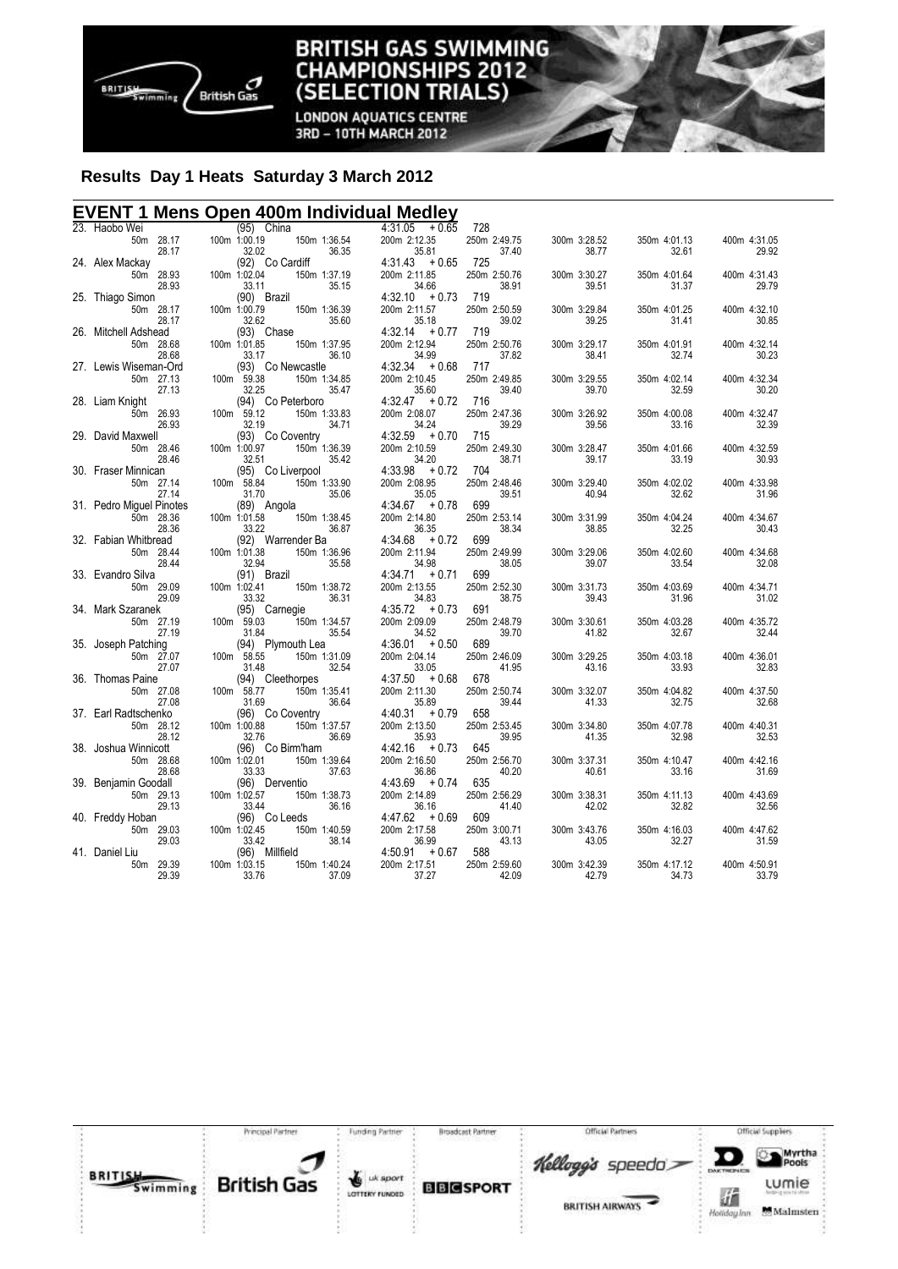

**LONDON AQUATICS CENTRE** 3RD - 10TH MARCH 2012

# **Results Day 1 Heats Saturday 3 March 2012**

# **EVENT 1 Mens Open 400m Individual Medley**

| 23. Haobo Wei                     | (95) China                                        |                          | $4:31.05 + 0.65$                     | 728                   |                       |                       |                       |
|-----------------------------------|---------------------------------------------------|--------------------------|--------------------------------------|-----------------------|-----------------------|-----------------------|-----------------------|
| 50m 28.17                         | 100m 1:00.19                                      | 150m 1:36.54             | 200m 2:12.35                         | 250m 2:49.75          | 300m 3:28.52          | 350m 4:01.13          | 400m 4:31.05          |
| 28.17                             | 32.02                                             | 36.35                    | 35.81                                | 37.40                 | 38.77                 | 32.61                 | 29.92                 |
| 24. Alex Mackay<br>50m 28.93      | (92) Co Cardiff<br>100m 1:02.04                   | 150m 1:37.19             | $4:31.43 + 0.65$<br>200m 2:11.85     | 725<br>250m 2:50.76   | 300m 3:30.27          | 350m 4:01.64          | 400m 4:31.43          |
| 28.93                             | 33.11                                             | 35.15                    | 34.66                                | 38.91                 | 39.51                 | 31.37                 | 29.79                 |
| 25. Thiago Simon                  | (90) Brazil                                       |                          | $4:32.10 + 0.73$                     | 719                   |                       |                       |                       |
| 50m 28.17                         | 100m 1:00.79                                      | 150m 1:36.39             | 200m 2:11.57                         | 250m 2:50.59          | 300m 3:29.84          | 350m 4:01.25          | 400m 4:32.10          |
| 28.17                             | 32.62                                             | 35.60                    | 35.18                                | 39.02                 | 39.25                 | 31.41                 | 30.85                 |
| 26. Mitchell Adshead              | (93) Chase                                        |                          | $4:32.14 + 0.77$                     | 719                   |                       |                       |                       |
| 50m 28.68                         | 100m 1:01.85                                      | 150m 1:37.95             | 200m 2:12.94                         | 250m 2:50.76          | 300m 3:29.17          | 350m 4:01.91          | 400m 4:32.14          |
| 28.68<br>27. Lewis Wiseman-Ord    | 33.17                                             | 36.10                    | 34.99<br>$4:32.34 + 0.68$            | 37.82<br>717          | 38.41                 | 32.74                 | 30.23                 |
| 50m 27.13                         | (93) Co Newcastle<br>100m 59.38                   | 150m 1:34.85             | 200m 2:10.45                         | 250m 2:49.85          | 300m 3:29.55          | 350m 4:02.14          | 400m 4:32.34          |
| 27.13                             | 32.25                                             | 35.47                    | 35.60                                | 39.40                 | 39.70                 | 32.59                 | 30.20                 |
| 28. Liam Knight                   | (94) Co Peterboro                                 |                          | $4:32.47 + 0.72$                     | 716                   |                       |                       |                       |
| 50m 26.93                         | 100m 59.12                                        | 150m 1:33.83             | 200m 2:08.07                         | 250m 2:47.36          | 300m 3:26.92          | 350m 4:00.08          | 400m 4:32.47          |
| 26.93                             | 32.19                                             | 34.71                    | 34.24                                | 39.29                 | 39.56                 | 33.16                 | 32.39                 |
| 29. David Maxwell                 | (93) Co Coventry                                  | Coventry<br>150m 1:36.39 | $4:32.59 + 0.70$                     | 715                   |                       |                       |                       |
| 50m 28.46<br>28.46                | 100m 1:00.97                                      | 35.42                    | 200m 2:10.59                         | 250m 2:49.30<br>38.71 | 300m 3:28.47<br>39.17 | 350m 4:01.66<br>33.19 | 400m 4:32.59<br>30.93 |
| 30. Fraser Minnican               | 32.51<br>(95) Co Liverpool                        |                          | 34.20<br>$4:33.98 + 0.72$ 704        |                       |                       |                       |                       |
| 50m 27.14                         | 100m 58.84                                        | 150m 1:33.90             | 200m 2:08.95                         | 250m 2:48.46          | 300m 3:29.40          | 350m 4:02.02          | 400m 4:33.98          |
| 27.14                             | 31.70                                             | 35.06                    | 35.05                                | 39.51                 | 40.94                 | 32.62                 | 31.96                 |
| 31. Pedro Miguel Pinotes          | (89) Angola                                       |                          | $4:34.67 + 0.78$                     | 699                   |                       |                       |                       |
| 50m 28.36                         | 100m 1:01.58                                      | 150m 1:38.45             | 200m 2:14.80                         | 250m 2:53.14          | 300m 3:31.99          | 350m 4:04.24          | 400m 4:34.67          |
| 28.36                             | 33.22                                             | 36.87                    | 36.35                                | 38.34                 | 38.85                 | 32.25                 | 30.43                 |
| 32. Fabian Whitbread<br>50m 28.44 | (92) Warrender Ba<br>100m 1:01.38                 | 150m 1:36.96             | $4:34.68 + 0.72 699$<br>200m 2:11.94 | 250m 2:49.99          | 300m 3:29.06          | 350m 4:02.60          | 400m 4:34.68          |
| 28.44                             | 32.94                                             | 35.58                    | 34.98                                | 38.05                 | 39.07                 | 33.54                 | 32.08                 |
| 33. Evandro Silva                 | (91) Brazil                                       |                          | $4:34.71 + 0.71$                     | 699                   |                       |                       |                       |
| 50m 29.09                         | 91) [91)<br>100m 1:02.41<br>33.32                 | 150m 1:38.72             | 200m 2:13.55                         | 250m 2:52.30          | 300m 3:31.73          | 350m 4:03.69          | 400m 4:34.71          |
| 29.09                             | 33.32                                             | 36.31                    | 34.83                                | 38.75                 | 39.43                 | 31.96                 | 31.02                 |
| 34. Mark Szaranek                 | $(95)$ C<br>100m 59.03<br>(95) Carnegie           |                          | $4:35.72 + 0.73$                     | 691                   |                       |                       |                       |
| 50m 27.19<br>27.19                | 31.84                                             | 150m 1:34.57<br>35.54    | 200m 2:09.09<br>34.52                | 250m 2:48.79<br>39.70 | 300m 3:30.61<br>41.82 | 350m 4:03.28<br>32.67 | 400m 4:35.72<br>32.44 |
| 35. Joseph Patching               | (94) Plymouth Lea                                 |                          | $4:36.01 + 0.50$                     | 689                   |                       |                       |                       |
| 50m 27.07                         | $(94)$  <br>100m 58.55                            | 150m 1:31.09             | 200m 2:04.14                         | 250m 2:46.09          | 300m 3:29.25          | 350m 4:03.18          | 400m 4:36.01          |
| 27.07                             |                                                   | 32.54                    | 33.05                                | 41.95                 | 43.16                 | 33.93                 | 32.83                 |
| 36. Thomas Paine                  | $31.48$<br>(94)<br>100m 58.77<br>(94) Cleethorpes | eunorpes<br>150m 1:35.41 | $4:37.50 + 0.68$                     | 678                   |                       |                       |                       |
| 50m 27.08                         |                                                   |                          | 200m 2:11.30                         | 250m 2:50.74          | 300m 3:32.07          | 350m 4:04.82          | 400m 4:37.50          |
| 27.08                             | 31.69                                             | 36.64                    | 35.89                                | 39.44                 | 41.33                 | 32.75                 | 32.68                 |
| 37. Earl Radtschenko<br>50m 28.12 | (96) Co Coventry<br>100m 1:00.88                  | 150m 1:37.57             | $4:40.31 + 0.79$<br>200m 2:13.50     | 658<br>250m 2:53.45   | 300m 3:34.80          | 350m 4:07.78          | 400m 4:40.31          |
| 28.12                             | 32.76                                             | 36.69                    | 35.93                                | 39.95                 | 41.35                 | 32.98                 | 32.53                 |
| 38. Joshua Winnicott              | (96) Co Birm'ham                                  |                          | $4:42.16 + 0.73$                     | 645                   |                       |                       |                       |
| 50m 28.68                         | $100m$ 1:02.01                                    | 150m 1:39.64             | 200m 2:16.50                         | 250m 2:56.70          | 300m 3:37.31          | 350m 4:10.47          | 400m 4:42.16          |
| 28.68                             | 33.33                                             | 37.63                    | 36.86                                | 40.20                 | 40.61                 | 33.16                 | 31.69                 |
| 39. Benjamin Goodall              | (96) Derventio                                    |                          | $4:43.69 + 0.74$                     | 635                   |                       |                       |                       |
| 50m 29.13                         | 100m 1:02.57                                      | 150m 1:38.73             | 200m 2:14.89                         | 250m 2:56.29          | 300m 3:38.31          | 350m 4:11.13          | 400m 4:43.69          |
| 29.13<br>40. Freddy Hoban         | 33.44<br>(96) Co Leeds                            | 36.16                    | 36.16<br>$4:47.62 + 0.69$            | 41.40<br>609          | 42.02                 | 32.82                 | 32.56                 |
| 50m 29.03                         | 100m 1:02.45                                      | 150m 1:40.59             | 200m 2:17.58                         | 250m 3:00.71          | 300m 3:43.76          | 350m 4:16.03          | 400m 4:47.62          |
| 29.03                             | 33.42                                             | 38.14                    | 36.99                                | 43.13                 | 43.05                 | 32.27                 | 31.59                 |
| 41. Daniel Liu                    | (96) Millfield                                    |                          | $4:50.91 + 0.67$                     | 588                   |                       |                       |                       |
| 50m 29.39                         | 100m 1:03.15                                      | 150m 1:40.24             | 200m 2:17.51                         | 250m 2:59.60          | 300m 3:42.39          | 350m 4:17.12          | 400m 4:50.91          |
| 29.39                             | 33.76                                             | 37.09                    | 37.27                                | 42.09                 | 42.79                 | 34.73                 | 33.79                 |
|                                   |                                                   |                          |                                      |                       |                       |                       |                       |

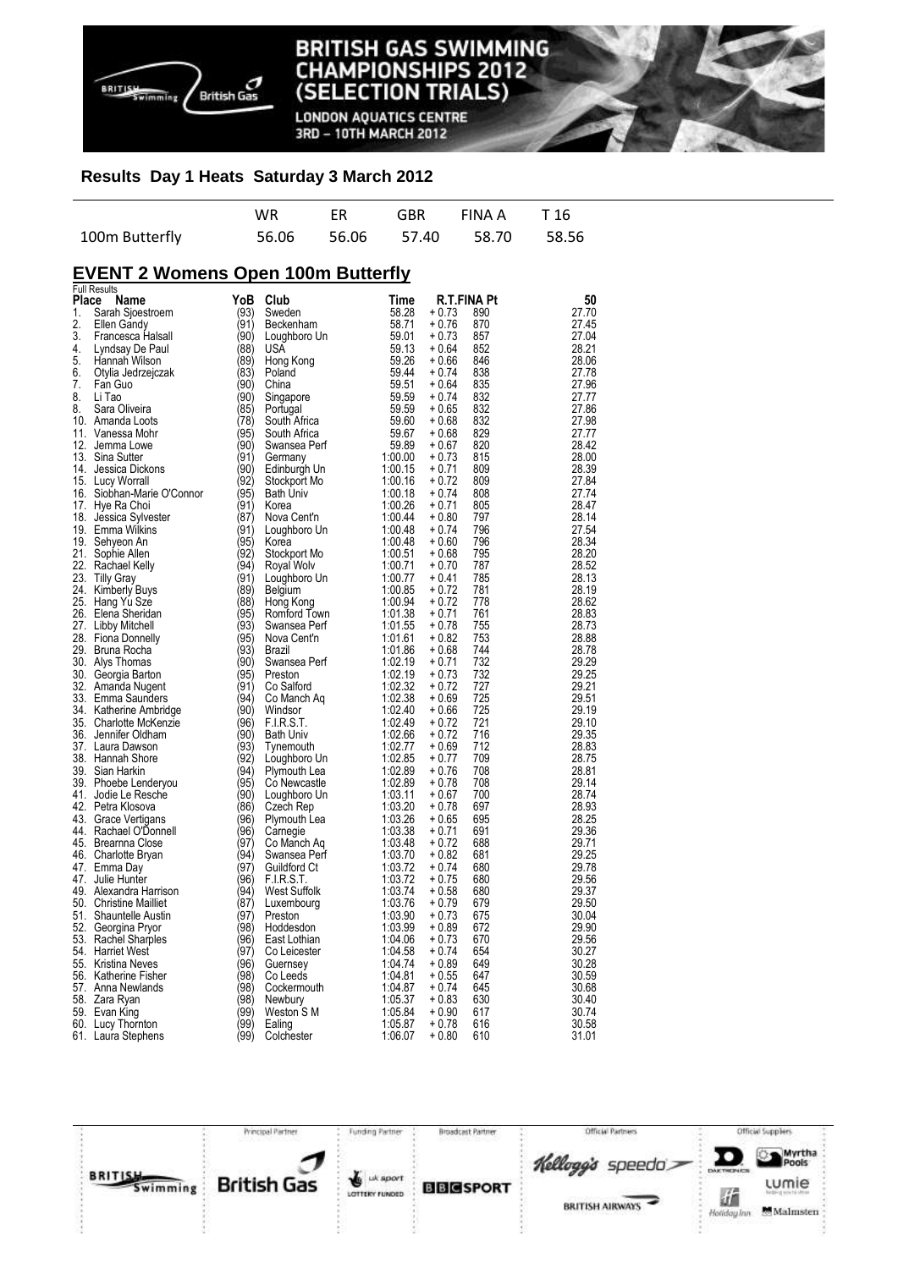

**LONDON AQUATICS CENTRE** 3RD - 10TH MARCH 2012

## **Results Day 1 Heats Saturday 3 March 2012**

|                | WR. |  | ER GBR FINAA T16              |  |
|----------------|-----|--|-------------------------------|--|
| 100m Butterfly |     |  | 56.06 56.06 57.40 58.70 58.56 |  |

# **EVENT 2 Womens Open 100m Butterfly**

|       | <b>Full Results</b>        |      |                  |         |             |     |       |
|-------|----------------------------|------|------------------|---------|-------------|-----|-------|
| Place | Name                       | YoB  | Club             | Time    | R.T.FINA Pt |     | 50    |
| 1.    | Sarah Sjoestroem           | (93) | Sweden           | 58.28   | $+0.73$     | 890 | 27.70 |
| 2.    | Ellen Gandy                | (91) | Beckenham        | 58.71   | $+0.76$     | 870 | 27.45 |
| 3.    | Francesca Halsall          | (90) | Loughboro Un     | 59.01   | + 0.73      | 857 | 27.04 |
| 4.    | Lyndsay De Paul            | (88) | USA              | 59.13   | $+0.64$     | 852 | 28.21 |
| 5.    | Hannah Wilson              | (89) | Hong Kong        | 59.26   | $+0.66$     | 846 | 28.06 |
| 6.    | Otylia Jedrzejczak         | (83) | Poland           | 59.44   | $+0.74$     | 838 | 27.78 |
| 7.    | Fan Guo                    | (90) | China            | 59.51   | $+0.64$     | 835 | 27.96 |
| 8.    | Li Tao                     | (90) | Singapore        | 59.59   | $+0.74$     | 832 | 27.77 |
| 8.    | Sara Oliveira              | (85) | Portugal         | 59.59   | $+0.65$     | 832 | 27.86 |
|       | 10. Amanda Loots           | (78) | South Africa     | 59.60   | $+0.68$     | 832 | 27.98 |
|       | 11. Vanessa Mohr           | (95) | South Africa     | 59.67   | $+0.68$     | 829 | 27.77 |
|       | 12. Jemma Lowe             | (90) | Swansea Perf     | 59.89   | $+0.67$     | 820 | 28.42 |
|       |                            |      |                  |         |             |     | 28.00 |
|       | 13. Sina Sutter            | (91) | Germany          | 1:00.00 | $+0.73$     | 815 |       |
|       | 14. Jessica Dickons        | (90) | Edinburgh Un     | 1:00.15 | $+0.71$     | 809 | 28.39 |
|       | 15. Lucy Worrall           | (92) | Stockport Mo     | 1:00.16 | $+0.72$     | 809 | 27.84 |
|       | 16. Siobhan-Marie O'Connor | (95) | <b>Bath Univ</b> | 1:00.18 | $+0.74$     | 808 | 27.74 |
|       | 17. Hye Ra Choi            | (91) | Korea            | 1:00.26 | $+0.71$     | 805 | 28.47 |
|       | 18. Jessica Sylvester      | (87) | Nova Cent'n      | 1:00.44 | $+0.80$     | 797 | 28.14 |
|       | 19. Emma Wilkins           | (91) | Loughboro Un     | 1:00.48 | $+0.74$     | 796 | 27.54 |
|       | 19. Sehyeon An             | (95) | Korea            | 1:00.48 | $+0.60$     | 796 | 28.34 |
|       | 21. Sophie Allen           | (92) | Stockport Mo     | 1:00.51 | $+0.68$     | 795 | 28.20 |
|       | 22. Rachael Kelly          | (94) | Royal Wolv       | 1:00.71 | $+0.70$     | 787 | 28.52 |
|       | 23. Tilly Gray             | (91) | Loughboro Un     | 1:00.77 | $+0.41$     | 785 | 28.13 |
|       | 24. Kimberly Buys          | (89) | Belgium          | 1:00.85 | + 0.72      | 781 | 28.19 |
|       | 25. Hang Yu Sze            | (88) | Hong Kong        | 1:00.94 | $+0.72$     | 778 | 28.62 |
|       | 26. Elena Sheridan         | (95) | Romford Town     | 1:01.38 | $+0.71$     | 761 | 28.83 |
|       | 27. Libby Mitchell         | (93) | Swansea Perf     | 1:01.55 | $+0.78$     | 755 | 28.73 |
|       | 28. Fiona Donnelly         | (95) | Nova Cent'n      | 1:01.61 | $+0.82$     | 753 | 28.88 |
|       | 29. Bruna Rocha            | (93) | Brazil           | 1:01.86 | $+0.68$     | 744 | 28.78 |
|       | 30. Alys Thomas            | (90) | Swansea Perf     | 1:02.19 | $+0.71$     | 732 | 29.29 |
|       | 30. Georgia Barton         | (95) | Preston          | 1:02.19 | $+0.73$     | 732 | 29.25 |
|       | 32. Amanda Nugent          | (91) | Co Salford       | 1:02.32 | $+0.72$     | 727 | 29.21 |
|       | 33. Emma Saunders          | (94) |                  | 1:02.38 | $+0.69$     | 725 | 29.51 |
|       |                            | (90) | Co Manch Aq      | 1:02.40 | $+0.66$     | 725 | 29.19 |
|       | 34. Katherine Ambridge     |      | Windsor          |         |             |     |       |
|       | 35. Charlotte McKenzie     | (96) | F.I.R.S.T.       | 1:02.49 | $+0.72$     | 721 | 29.10 |
|       | 36. Jennifer Oldham        | (90) | <b>Bath Univ</b> | 1:02.66 | $+0.72$     | 716 | 29.35 |
|       | 37. Laura Dawson           | (93) | Tynemouth        | 1:02.77 | + 0.69      | 712 | 28.83 |
|       | 38. Hannah Shore           | (92) | Loughboro Un     | 1:02.85 | $+0.77$     | 709 | 28.75 |
|       | 39. Sian Harkin            | (94) | Plymouth Lea     | 1:02.89 | $+0.76$     | 708 | 28.81 |
|       | 39. Phoebe Lenderyou       | (95) | Co Newcastle     | 1:02.89 | $+0.78$     | 708 | 29.14 |
|       | 41. Jodie Le Resche        | (90) | Loughboro Un     | 1:03.11 | $+0.67$     | 700 | 28.74 |
|       | 42. Petra Klosova          | (86) | Czech Rep        | 1:03.20 | $+0.78$     | 697 | 28.93 |
|       | 43. Grace Vertigans        | (96) | Plymouth Lea     | 1:03.26 | $+0.65$     | 695 | 28.25 |
|       | 44. Rachael O'Donnell      | (96) | Camegie          | 1:03.38 | $+0.71$     | 691 | 29.36 |
|       | 45. Brearnna Close         | (97) | Co Manch Aq      | 1:03.48 | + 0.72      | 688 | 29.71 |
|       | 46. Charlotte Bryan        | (94) | Swansea Perf     | 1:03.70 | $+0.82$     | 681 | 29.25 |
|       | 47. Emma Day               | (97) | Guildford Ct     | 1:03.72 | $+0.74$     | 680 | 29.78 |
|       | 47. Julie Hunter           | (96) | FIRST.           | 1:03.72 | $+0.75$     | 680 | 29.56 |
|       | 49. Alexandra Harrison     | (94) | West Suffolk     | 1:03.74 | $+0.58$     | 680 | 29.37 |
|       | 50. Christine Mailliet     | (87) | Luxembourg       | 1:03.76 | $+0.79$     | 679 | 29.50 |
|       | 51. Shauntelle Austin      | (97) | Preston          | 1:03.90 | $+0.73$     | 675 | 30.04 |
|       | 52. Georgina Pryor         | (98) | Hoddesdon        | 1:03.99 | $+0.89$     | 672 | 29.90 |
|       | 53. Rachel Sharples        | (96) | East Lothian     | 1:04.06 | $+0.73$     | 670 | 29.56 |
|       | 54. Harriet West           | (97) | Co Leicester     | 1:04.58 | $+0.74$     | 654 | 30.27 |
|       | 55. Kristina Neves         | (96) | Guernsey         | 1:04.74 | $+0.89$     | 649 | 30.28 |
|       | 56. Katherine Fisher       | (98) | Co Leeds         | 1:04.81 | $+0.55$     | 647 | 30.59 |
|       | 57. Anna Newlands          | (98) | Cockermouth      | 1:04.87 | $+0.74$     | 645 | 30.68 |
|       | 58. Zara Ryan              | (98) | Newbury          | 1:05.37 | $+0.83$     | 630 | 30.40 |
|       |                            | (99) | Weston S M       | 1:05.84 | $+0.90$     | 617 | 30.74 |
|       | 59. Evan King              | (99) |                  | 1:05.87 | $+0.78$     | 616 | 30.58 |
|       | 60. Lucy Thornton          |      | Ealing           |         |             |     |       |
|       | 61. Laura Stephens         | (99) | Colchester       | 1:06.07 | $+0.80$     | 610 | 31.01 |

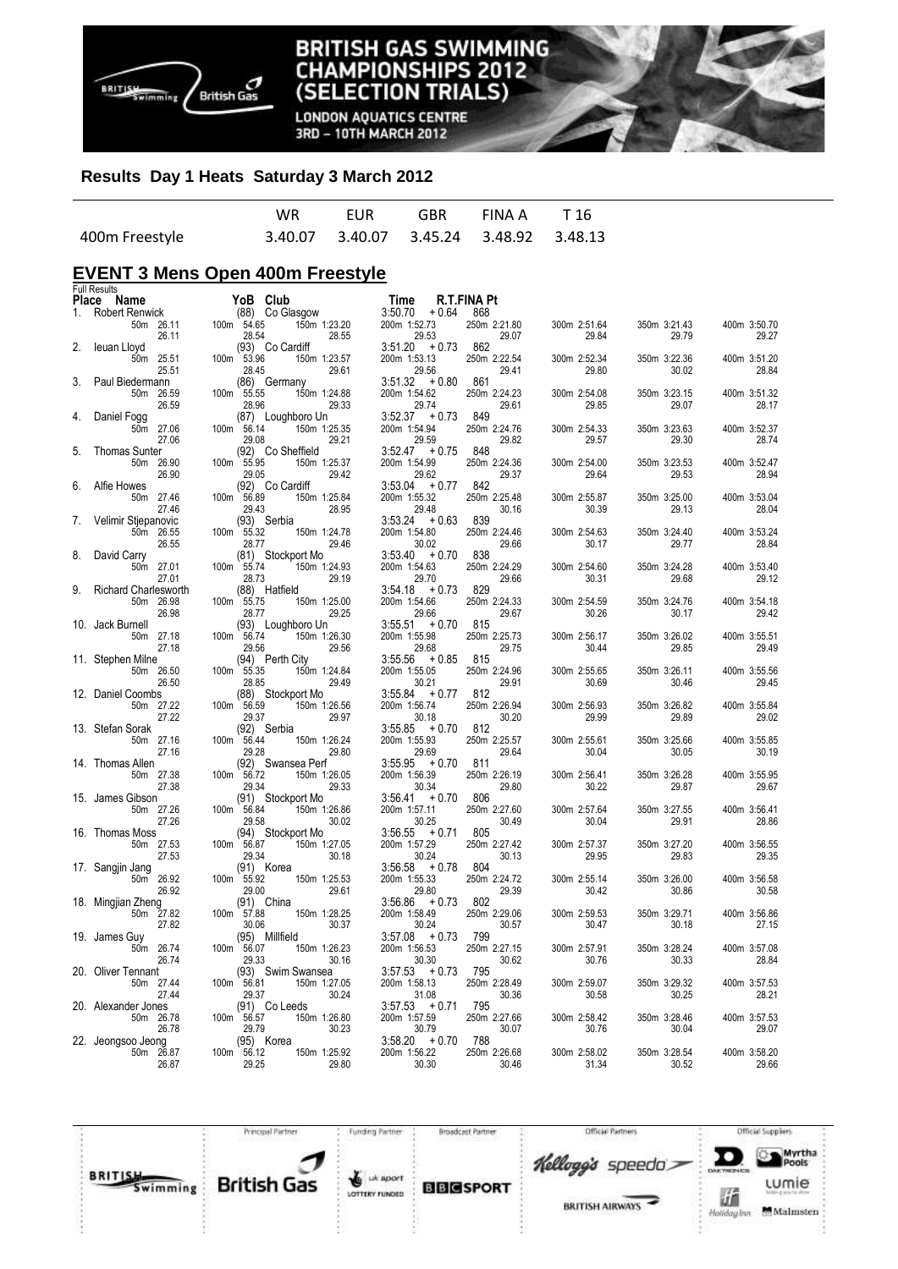

**LONDON AQUATICS CENTRE** 3RD - 10TH MARCH 2012

## **Results Day 1 Heats Saturday 3 March 2012**

|                |  | WR EUR GBR FINAA T16 |  |
|----------------|--|----------------------|--|
| 400m Freestyle |  |                      |  |

# **EVENT 3 Mens Open 400m Freestyle**

|       | <b>Full Results</b>             |            |                                |                           |                       |                       |                       |                       |
|-------|---------------------------------|------------|--------------------------------|---------------------------|-----------------------|-----------------------|-----------------------|-----------------------|
| Place | Name                            |            | YoB Club                       | Time                      | R.T.FINA Pt           |                       |                       |                       |
| 1.    | Robert Renwick                  |            | (88) Co Glasgow                | 3:50.70<br>+ 0.64         | 868                   |                       |                       |                       |
|       | 50m 26.11                       | 100m 54.65 | 150m 1:23.20                   | 200m 1:52.73              | 250m 2:21.80          | 300m 2:51.64          | 350m 3:21.43          | 400m 3:50.70          |
|       | 26.11                           |            | 28.55<br>28.54                 | 29.53                     | 29.07                 | 29.84                 | 29.79                 | 29.27                 |
| 2.    | leuan Lloyd                     |            | (93) Co Cardiff                | $3:51.20 + 0.73$          | 862                   |                       |                       |                       |
|       | 50m 25.51<br>25.51              | 100m 53.96 | 150m 1:23.57<br>29.61<br>28.45 | 200m 1:53.13<br>29.56     | 250m 2:22.54<br>29.41 | 300m 2:52.34<br>29.80 | 350m 3:22.36<br>30.02 | 400m 3:51.20<br>28.84 |
| 3.    | Paul Biedermann                 |            | (86) Germany                   | $3:51.32 + 0.80$          | 861                   |                       |                       |                       |
|       | 50m 26.59                       | 100m 55.55 | 150m 1:24.88                   | 200m 1:54.62              | 250m 2:24.23          | 300m 2:54.08          | 350m 3:23.15          | 400m 3:51.32          |
|       | 26.59                           |            | 28.96<br>29.33                 | 29.74                     | 29.61                 | 29.85                 | 29.07                 | 28.17                 |
| 4.    | Daniel Fogg                     |            | (87) Loughboro Un              | $3:52.37 + 0.73$          | 849                   |                       |                       |                       |
|       | 50m 27.06                       | 100m 56.14 | 150m 1:25.35                   | 200m 1:54.94              | 250m 2:24.76          | 300m 2:54.33          | 350m 3:23.63          | 400m 3:52.37          |
|       | 27.06                           |            | 29.08<br>29.21                 | 29.59                     | 29.82                 | 29.57                 | 29.30                 | 28.74                 |
| 5.    | <b>Thomas Sunter</b>            |            | (92) Co Sheffield              | $3:52.47 + 0.75$          | 848                   |                       |                       |                       |
|       | 50m 26.90                       | 100m 55.95 | 150m 1:25.37                   | 200m 1:54.99              | 250m 2:24.36          | 300m 2:54.00          | 350m 3:23.53          | 400m 3:52.47          |
|       | 26.90                           |            | 29.05<br>29.42                 | 29.62                     | 29.37                 | 29.64                 | 29.53                 | 28.94                 |
| 6.    | Alfie Howes                     |            | (92) Co Cardiff                | $3:53.04 + 0.77$          | 842                   |                       |                       |                       |
|       | 50m 27.46<br>27.46              | 100m 56.89 | 150m 1:25.84<br>29.43<br>28.95 | 200m 1:55.32<br>29.48     | 250m 2:25.48<br>30.16 | 300m 2:55.87<br>30.39 | 350m 3:25.00<br>29.13 | 400m 3:53.04<br>28.04 |
| 7.    | Velimir Stjepanovic             |            | (93) Serbia                    | $3:53.24 + 0.63$          | 839                   |                       |                       |                       |
|       | 50m 26.55                       | 100m 55.32 | 150m 1:24.78                   | 200m 1:54.80              | 250m 2:24.46          | 300m 2:54.63          | 350m 3:24.40          | 400m 3:53.24          |
|       | 26.55                           |            | 29.46<br>28.77                 | 30.02                     | 29.66                 | 30.17                 | 29.77                 | 28.84                 |
| 8.    | David Carry                     |            | (81) Stockport Mo              | $3:53.40 + 0.70$          | 838                   |                       |                       |                       |
|       | 50m 27.01                       | 100m 55.74 | 150m 1:24.93                   | 200m 1:54.63              | 250m 2:24.29          | 300m 2:54.60          | 350m 3:24.28          | 400m 3:53.40          |
|       | 27.01                           |            | 28.73<br>29.19                 | 29.70                     | 29.66                 | 30.31                 | 29.68                 | 29.12                 |
| 9.    | <b>Richard Charlesworth</b>     |            | (88) Hatfield                  | $3:54.18 + 0.73$          | 829                   |                       |                       |                       |
|       | 50m 26.98                       | 100m 55.75 | 150m 1:25.00                   | 200m 1:54.66              | 250m 2:24.33          | 300m 2:54.59          | 350m 3:24.76          | 400m 3:54.18          |
|       | 26.98                           |            | 29.25<br>28.77                 | 29.66                     | 29.67                 | 30.26                 | 30.17                 | 29.42                 |
|       | 10. Jack Burnell                |            | (93) Loughboro Un              | $3:55.51 + 0.70$          | 815<br>250m 2:25.73   |                       |                       |                       |
|       | 50m 27.18<br>27.18              | 100m 56.74 | 150m 1:26.30<br>29.56<br>29.56 | 200m 1:55.98<br>29.68     | 29.75                 | 300m 2:56.17<br>30.44 | 350m 3:26.02<br>29.85 | 400m 3:55.51<br>29.49 |
|       | 11. Stephen Milne               |            | (94) Perth City                | $3:55.56 + 0.85$          | 815                   |                       |                       |                       |
|       | 50m 26.50                       | 100m 55.35 | 150m 1:24.84                   | 200m 1:55.05              | 250m 2:24.96          | 300m 2:55.65          | 350m 3:26.11          | 400m 3:55.56          |
|       | 26.50                           |            | 29.49<br>28.85                 | 30.21                     | 29.91                 | 30.69                 | 30.46                 | 29.45                 |
|       | 12. Daniel Coombs               |            | (88) Stockport Mo              | $3:55.84 + 0.77$          | 812                   |                       |                       |                       |
|       | 50m 27.22                       | 100m 56.59 | 150m 1:26.56                   | 200m 1:56.74              | 250m 2:26.94          | 300m 2:56.93          | 350m 3:26.82          | 400m 3:55.84          |
|       | 27.22                           |            | 29.37<br>29.97                 | 30.18                     | 30.20                 | 29.99                 | 29.89                 | 29.02                 |
|       | 13. Stefan Sorak                |            | (92) Serbia                    | $3:55.85 + 0.70$          | 812                   |                       |                       |                       |
|       | 50m 27.16                       | 100m 56.44 | 150m 1:26.24                   | 200m 1:55.93              | 250m 2:25.57          | 300m 2:55.61          | 350m 3:25.66          | 400m 3:55.85          |
|       | 27.16                           |            | 29.28<br>29.80                 | 29.69                     | 29.64                 | 30.04                 | 30.05                 | 30.19                 |
|       | 14. Thomas Allen                |            | (92) Swansea Perf              | $3:55.95 + 0.70$          | 811                   |                       |                       |                       |
|       | 50m 27.38<br>27.38              | 100m 56.72 | 150m 1:26.05<br>29.34<br>29.33 | 200m 1:56.39<br>30.34     | 250m 2:26.19<br>29.80 | 300m 2:56.41<br>30.22 | 350m 3:26.28<br>29.87 | 400m 3:55.95<br>29.67 |
|       | 15. James Gibson                |            | (91) Stockport Mo              | $3:56.41 + 0.70$          | 806                   |                       |                       |                       |
|       | 50m 27.26                       | 100m 56.84 | 150m 1:26.86                   | 200m 1:57.11              | 250m 2:27.60          | 300m 2:57.64          | 350m 3:27.55          | 400m 3:56.41          |
|       | 27.26                           |            | 30.02<br>29.58                 | 30.25                     | 30.49                 | 30.04                 | 29.91                 | 28.86                 |
|       | 16. Thomas Moss                 |            | (94) Stockport Mo              | $3:56.55 + 0.71$          | 805                   |                       |                       |                       |
|       | 50m 27.53                       | 100m 56.87 | 150m 1:27.05                   | 200m 1:57.29              | 250m 2:27.42          | 300m 2:57.37          | 350m 3:27.20          | 400m 3:56.55          |
|       | 27.53                           |            | 30.18<br>29.34                 | 30.24                     | 30.13                 | 29.95                 | 29.83                 | 29.35                 |
|       | 17. Sangjin Jang                |            | (91) Korea                     | $3:56.58 + 0.78$          | 804                   |                       |                       |                       |
|       | 50m 26.92                       | 100m 55.92 | 150m 1:25.53                   | 200m 1:55.33              | 250m 2:24.72          | 300m 2:55.14          | 350m 3:26.00          | 400m 3:56.58          |
|       | 26.92                           |            | 29.61<br>29.00                 | 29.80<br>$3:56.86 + 0.73$ | 29.39                 | 30.42                 | 30.86                 | 30.58                 |
|       | 18. Mingjian Zheng<br>50m 27.82 | 100m 57.88 | $(91)$ China<br>150m 1:28.25   | 200m 1:58.49              | 802<br>250m 2:29.06   | 300m 2:59.53          | 350m 3:29.71          | 400m 3:56.86          |
|       | 27.82                           |            | 30.06<br>30.37                 | 30.24                     | 30.57                 | 30.47                 | 30.18                 | 27.15                 |
|       | 19. James Guy                   |            | (95) Millfield                 | $3:57.08 + 0.73$          | 799                   |                       |                       |                       |
|       | 50m 26.74                       | 100m 56.07 | 150m 1:26.23                   | 200m 1:56.53              | 250m 2:27.15          | 300m 2:57.91          | 350m 3:28.24          | 400m 3:57.08          |
|       | 26.74                           |            | 30.16<br>29.33                 | 30.30                     | 30.62                 | 30.76                 | 30.33                 | 28.84                 |
|       | 20. Oliver Tennant              |            | (93) Swim Swansea              | $3:57.53 + 0.73$          | 795                   |                       |                       |                       |
|       | 50m 27.44                       | 100m 56.81 | 150m 1:27.05                   | 200m 1:58.13              | 250m 2:28.49          | 300m 2:59.07          | 350m 3:29.32          | 400m 3:57.53          |
|       | 27.44                           |            | 29.37<br>30.24                 | 31.08                     | 30.36                 | 30.58                 | 30.25                 | 28.21                 |
|       | 20. Alexander Jones             |            | (91) Co Leeds                  | $3:57.53 + 0.71$          | 795                   |                       |                       |                       |
|       | 50m 26.78                       | 100m 56.57 | 150m 1:26.80                   | 200m 1:57.59              | 250m 2:27.66          | 300m 2:58.42          | 350m 3:28.46          | 400m 3:57.53          |
|       | 26.78                           |            | 29.79<br>30.23                 | 30.79                     | 30.07                 | 30.76                 | 30.04                 | 29.07                 |
|       | 22. Jeongsoo Jeong              |            | (95) Korea                     | $3:58.20 + 0.70$          | 788                   |                       |                       |                       |
|       | 50m 26.87<br>26.87              | 100m 56.12 | 150m 1:25.92<br>29.25<br>29.80 | 200m 1:56.22<br>30.30     | 250m 2:26.68<br>30.46 | 300m 2:58.02<br>31.34 | 350m 3:28.54<br>30.52 | 400m 3:58.20<br>29.66 |
|       |                                 |            |                                |                           |                       |                       |                       |                       |

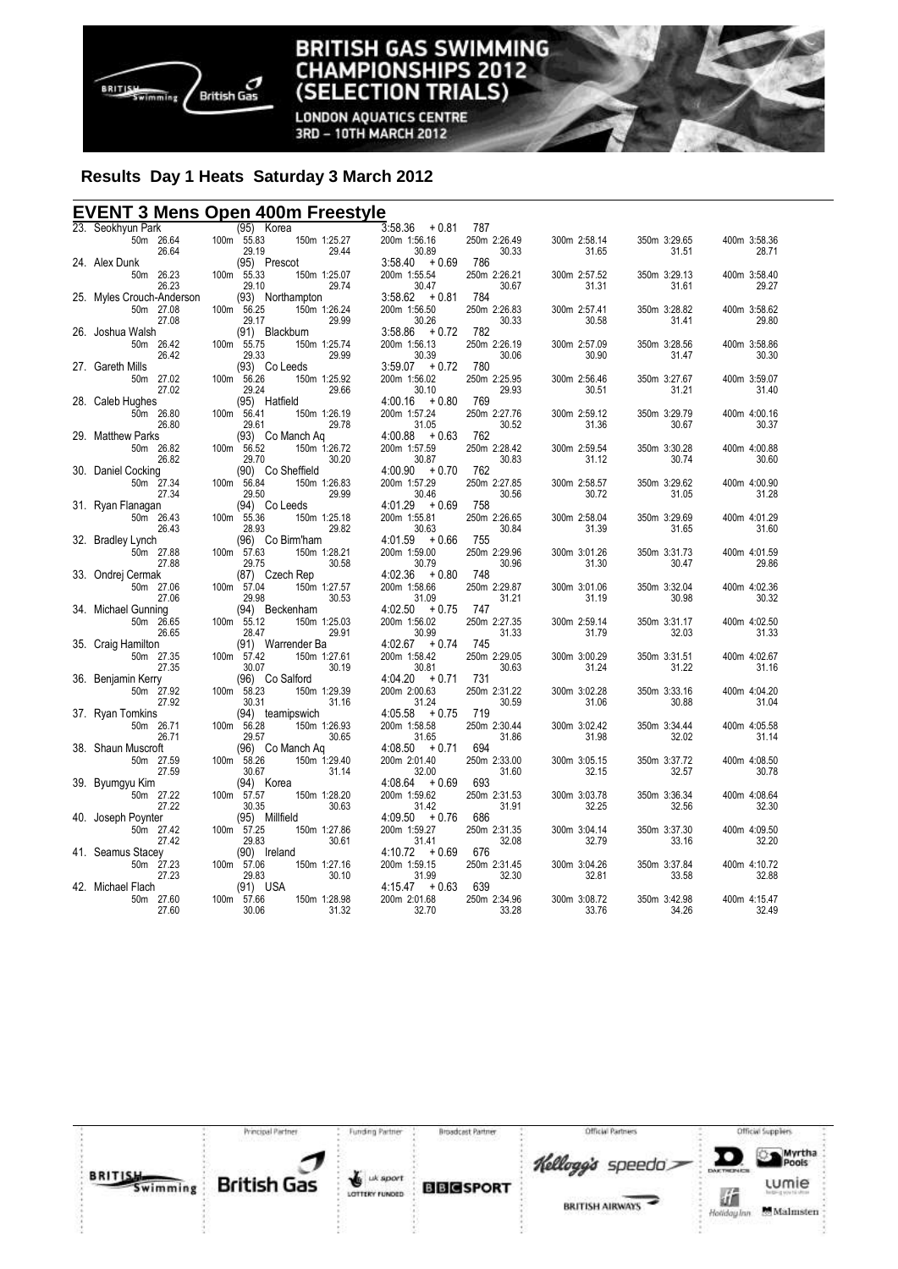

**LONDON AQUATICS CENTRE** 3RD - 10TH MARCH 2012

# **Results Day 1 Heats Saturday 3 March 2012**

# **EVENT 3 Mens Open 400m Freestyle**

| 23. Seokhyun Park              | (95) Korea                     |                       | $3:58.36 + 0.81$                 | 787                   |                       |                       |                       |
|--------------------------------|--------------------------------|-----------------------|----------------------------------|-----------------------|-----------------------|-----------------------|-----------------------|
| 50m 26.64                      | 100m 55.83                     | 150m 1:25.27          | 200m 1:56.16                     | 250m 2:26.49          | 300m 2:58.14          | 350m 3:29.65          | 400m 3:58.36          |
| 26.64                          | 29.19                          | 29.44                 | 30.89                            | 30.33                 | 31.65                 | 31.51                 | 28.71                 |
| 24. Alex Dunk<br>50m 26.23     | (95) Prescot<br>100m 55.33     | 150m 1:25.07          | $3:58.40 + 0.69$<br>200m 1:55.54 | 786<br>250m 2:26.21   | 300m 2:57.52          | 350m 3:29.13          | 400m 3:58.40          |
| 26.23                          | 29.10                          | 29.74                 | 30.47                            | 30.67                 | 31.31                 | 31.61                 | 29.27                 |
| 25. Myles Crouch-Anderson      | (93) Northampton               |                       | $3:58.62 + 0.81$                 | 784                   |                       |                       |                       |
| 50m 27.08                      | 100m 56.25                     | 150m 1:26.24          | 200m 1:56.50                     | 250m 2:26.83          | 300m 2:57.41          | 350m 3:28.82          | 400m 3:58.62          |
| 27.08                          | 29.17                          | 29.99                 | 30.26                            | 30.33                 | 30.58                 | 31.41                 | 29.80                 |
| 26. Joshua Walsh               | (91) Blackburn                 |                       | $3:58.86 + 0.72$                 | 782                   |                       |                       |                       |
| 50m 26.42                      | 100m 55.75                     | 150m 1:25.74          | 200m 1:56.13                     | 250m 2:26.19          | 300m 2:57.09          | 350m 3:28.56          | 400m 3:58.86          |
| 26.42<br>27. Gareth Mills      | 29.33<br>(93) Co Leeds         | 29.99                 | 30.39<br>$3:59.07 + 0.72$        | 30.06<br>780          | 30.90                 | 31.47                 | 30.30                 |
| 50m 27.02                      | 100m 56.26                     | 150m 1:25.92          | 200m 1:56.02                     | 250m 2:25.95          | 300m 2:56.46          | 350m 3:27.67          | 400m 3:59.07          |
| 27.02                          | 29.24                          | 29.66                 | 30.10                            | 29.93                 | 30.51                 | 31.21                 | 31.40                 |
| 28. Caleb Hughes               | (95) Hatfield                  |                       | $4:00.16 + 0.80$                 | 769                   |                       |                       |                       |
| 50m 26.80                      | 100m 56.41                     | 150m 1:26.19          | 200m 1:57.24                     | 250m 2:27.76          | 300m 2:59.12          | 350m 3:29.79          | 400m 4:00.16          |
| 26.80                          | 29.61                          | 29.78                 | 31.05                            | 30.52                 | 31.36                 | 30.67                 | 30.37                 |
| 29. Matthew Parks              |                                | (93) Co Manch Ag      | $4:00.88 + 0.63$                 | 762                   |                       |                       |                       |
| 50m 26.82<br>26.82             | 100m 56.52<br>29.70            | 150m 1:26.72<br>30.20 | 200m 1:57.59<br>30.87            | 250m 2:28.42<br>30.83 | 300m 2:59.54<br>31.12 | 350m 3:30.28<br>30.74 | 400m 4:00.88<br>30.60 |
| 30. Daniel Cocking             | (90) Co Sheffield              |                       | $4:00.90 + 0.70$                 | 762                   |                       |                       |                       |
| 50m 27.34                      | 100m 56.84                     | 150m 1:26.83          | 200m 1:57.29                     | 250m 2:27.85          | 300m 2:58.57          | 350m 3:29.62          | 400m 4:00.90          |
| 27.34                          | 29.50                          | 29.99                 | 30.46                            | 30.56                 | 30.72                 | 31.05                 | 31.28                 |
| 31. Ryan Flanagan              | (94) Co Leeds                  |                       | $4:01.29 + 0.69$                 | 758                   |                       |                       |                       |
| 50m 26.43                      | 100m 55.36                     | 150m 1:25.18          | 200m 1:55.81                     | 250m 2:26.65          | 300m 2:58.04          | 350m 3:29.69          | 400m 4:01.29          |
| 26.43                          | 28.93<br>(96) Co Birm'ham      | 29.82                 | 30.63<br>$4:01.59 + 0.66$        | 30.84<br>755          | 31.39                 | 31.65                 | 31.60                 |
| 32. Bradley Lynch<br>50m 27.88 | $100m$ 57.63                   | 150m 1:28.21          | 200m 1:59.00                     | 250m 2:29.96          | 300m 3:01.26          | 350m 3:31.73          | 400m 4:01.59          |
| 27.88                          | 29.75                          | 30.58                 | 30.79                            | 30.96                 | 31.30                 | 30.47                 | 29.86                 |
| 33. Ondrej Cermak              | (87) Czech Rep                 |                       | $4:02.36 + 0.80$                 | 748                   |                       |                       |                       |
| 50m 27.06                      | 100m 57.04                     | 150m 1:27.57          | 200m 1:58.66                     | 250m 2:29.87          | 300m 3:01.06          | 350m 3:32.04          | 400m 4:02.36          |
| 27.06                          | 29.98                          | 30.53                 | 31.09                            | 31.21                 | 31.19                 | 30.98                 | 30.32                 |
| 34. Michael Gunning            | (94) Beckenham                 |                       | $4:02.50 + 0.75$                 | 747                   |                       |                       |                       |
| 50m 26.65<br>26.65             | 100m 55.12<br>28.47            | 150m 1:25.03<br>29.91 | 200m 1:56.02<br>30.99            | 250m 2:27.35<br>31.33 | 300m 2:59.14<br>31.79 | 350m 3:31.17<br>32.03 | 400m 4:02.50<br>31.33 |
| 35. Craig Hamilton             | (91) Warrender Ba              |                       | $4:02.67 + 0.74$                 | 745                   |                       |                       |                       |
| 50m 27.35                      | 100m 57.42                     | 150m 1:27.61          | 200m 1:58.42                     | 250m 2:29.05          | 300m 3:00.29          | 350m 3:31.51          | 400m 4:02.67          |
| 27.35                          | 30.07                          | 30.19                 | 30.81                            | 30.63                 | 31.24                 | 31.22                 | 31.16                 |
| 36. Benjamin Kerry             | (96) Co Salford                |                       | $4:04.20 + 0.71$                 | 731                   |                       |                       |                       |
| 50m 27.92                      | 100m 58.23                     | 150m 1:29.39          | 200m 2:00.63                     | 250m 2:31.22          | 300m 3:02.28          | 350m 3:33.16          | 400m 4:04.20          |
| 27.92<br>37.   Ryan Tomkins    | 30.31                          | 31.16                 | 31.24<br>$4:05.58 + 0.75$        | 30.59<br>719          | 31.06                 | 30.88                 | 31.04                 |
| 50m 26.71                      | (94) teamipswich<br>100m 56.28 | 150m 1:26.93          | 200m 1:58.58                     | 250m 2:30.44          | 300m 3:02.42          | 350m 3:34.44          | 400m 4:05.58          |
| 26.71                          | 29.57                          | 30.65                 | 31.65                            | 31.86                 | 31.98                 | 32.02                 | 31.14                 |
| 38. Shaun Muscroft             | (96) Co Manch Ag               |                       | $4:08.50 + 0.71$                 | 694                   |                       |                       |                       |
| 50m 27.59                      | 100m 58.26                     | 150m 1:29.40          | 200m 2:01.40                     | 250m 2:33.00          | 300m 3:05.15          | 350m 3:37.72          | 400m 4:08.50          |
| 27.59                          | 30.67                          | 31.14                 | 32.00                            | 31.60                 | 32.15                 | 32.57                 | 30.78                 |
| 39. Byumgyu Kim                | (94) Korea                     |                       | $4:08.64 + 0.69$<br>200m 1:59.62 | 693                   |                       |                       |                       |
| 50m 27.22<br>27.22             | 100m 57.57<br>30.35            | 150m 1:28.20<br>30.63 | 31.42                            | 250m 2:31.53<br>31.91 | 300m 3:03.78<br>32.25 | 350m 3:36.34<br>32.56 | 400m 4:08.64<br>32.30 |
| 40. Joseph Poynter             | (95) Millfield                 |                       | $4:09.50 + 0.76$                 | 686                   |                       |                       |                       |
| 50m 27.42                      | 100m 57.25                     | 150m 1:27.86          | 200m 1:59.27                     | 250m 2:31.35          | 300m 3:04.14          | 350m 3:37.30          | 400m 4:09.50          |
| 27.42                          | 29.83                          | 30.61                 | 31.41                            | 32.08                 | 32.79                 | 33.16                 | 32.20                 |
| 41. Seamus Stacey              | (90) Ireland                   |                       | $4:10.72 + 0.69$                 | 676                   |                       |                       |                       |
| 50m 27.23                      | 100m 57.06                     | 150m 1:27.16          | 200m 1:59.15                     | 250m 2:31.45          | 300m 3:04.26          | 350m 3:37.84          | 400m 4:10.72          |
| 27.23<br>42. Michael Flach     | 29.83<br>$(91)$ USA            | 30.10                 | 31.99<br>$4:15.47 + 0.63$        | 32.30<br>639          | 32.81                 | 33.58                 | 32.88                 |
| 50m 27.60                      | 100m 57.66                     | 150m 1:28.98          | 200m 2:01.68                     | 250m 2:34.96          | 300m 3:08.72          | 350m 3:42.98          | 400m 4:15.47          |
| 27.60                          | 30.06                          | 31.32                 | 32.70                            | 33.28                 | 33.76                 | 34.26                 | 32.49                 |
|                                |                                |                       |                                  |                       |                       |                       |                       |

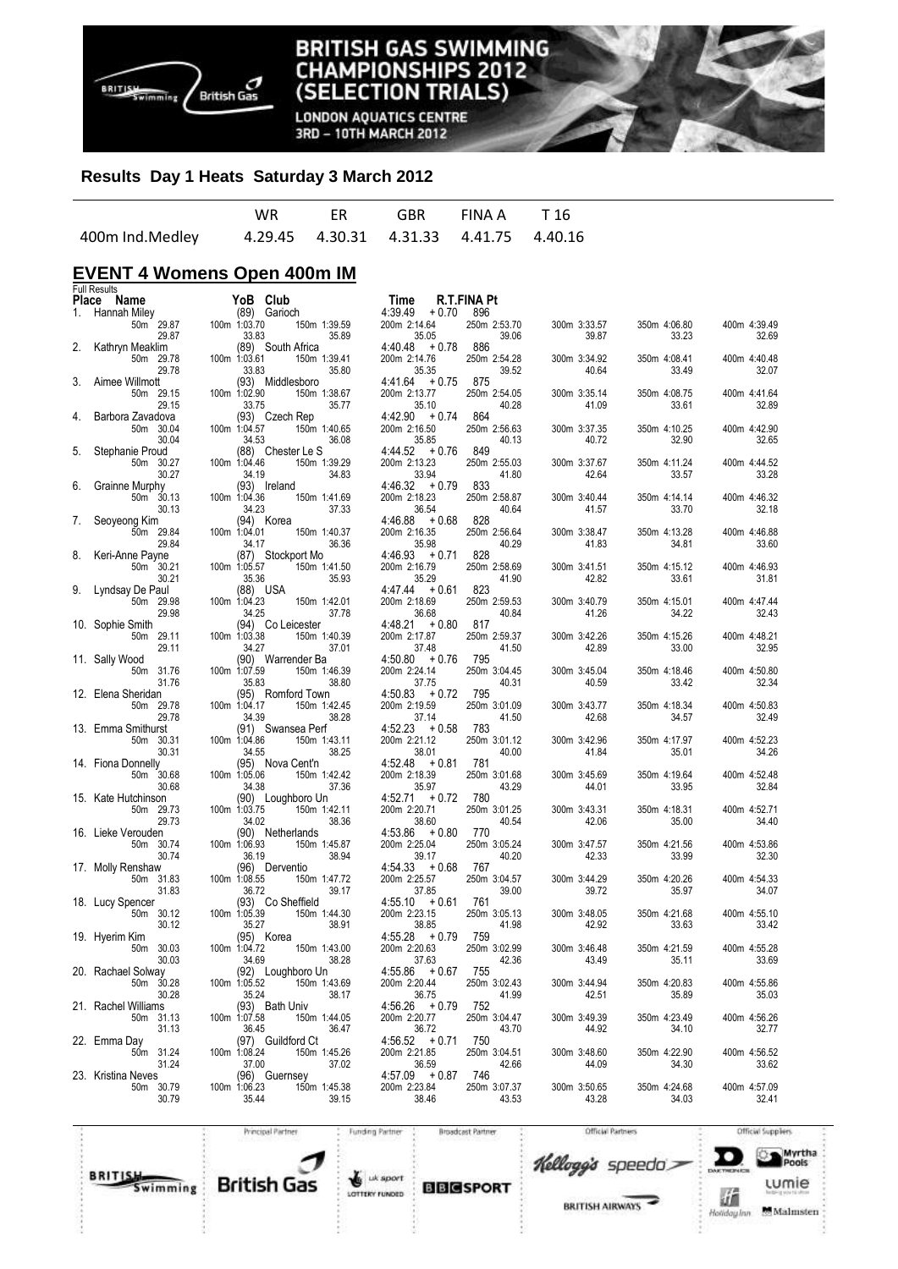

**LONDON AQUATICS CENTRE** 3RD - 10TH MARCH 2012

## **Results Day 1 Heats Saturday 3 March 2012**

|                 |  | WR FR GBR FINAIA T16                        |  |
|-----------------|--|---------------------------------------------|--|
| 400m Ind.Medley |  | 4.29.45  4.30.31  4.31.33  4.41.75  4.40.16 |  |

# **EVENT 4 Womens Open 400m IM**

|       | <b>Full Results</b>             |                                   |                       |                                  |                       |                       |                       |                         |
|-------|---------------------------------|-----------------------------------|-----------------------|----------------------------------|-----------------------|-----------------------|-----------------------|-------------------------|
| Place | Name                            | YoB Club                          |                       | Time                             | R.T.FINA Pt           |                       |                       |                         |
| 1.    | Hannah Miley                    | (89) Garioch                      |                       | 4:39.49<br>$+0.70$               | 896                   |                       |                       |                         |
|       | 50m <sup>29.87</sup><br>29.87   | 100m 1:03.70<br>33.83             | 150m 1:39.59<br>35.89 | 200m 2:14.64<br>35.05            | 250m 2:53.70<br>39.06 | 300m 3:33.57<br>39.87 | 350m 4:06.80<br>33.23 | 400m 4:39.49<br>32.69   |
| 2.    | Kathryn Meaklim<br>50m 29.78    | (89) South Africa<br>100m 1:03.61 | 150m 1:39.41          | $4:40.48 + 0.78$<br>200m 2:14.76 | 886<br>250m 2:54.28   | 300m 3:34.92          | 350m 4:08.41          | 400m 4:40.48            |
|       | 29.78                           | 33.83                             | 35.80                 | 35.35                            | 39.52                 | 40.64                 | 33.49                 | 32.07                   |
| 3.    | Aimee Willmott<br>50m 29.15     | (93) Middlesboro<br>100m 1:02.90  | 150m 1:38.67          | $4:41.64 + 0.75$<br>200m 2:13.77 | 875<br>250m 2:54.05   | 300m 3:35.14          | 350m 4:08.75          | 400m 4:41.64            |
|       | 29.15                           | 33.75                             | 35.77                 | 35.10                            | 40.28                 | 41.09                 | 33.61                 | 32.89                   |
| 4.    | Barbora Zavadova                | (93) Czech Rep                    |                       | $4:42.90 + 0.74$                 | 864                   |                       |                       |                         |
|       | 50m 30.04<br>30.04              | 100m 1:04.57<br>34.53             | 150m 1:40.65<br>36.08 | 200m 2:16.50<br>35.85            | 250m 2:56.63<br>40.13 | 300m 3:37.35<br>40.72 | 350m 4:10.25<br>32.90 | 400m 4:42.90<br>32.65   |
| 5.    | Stephanie Proud                 | (88) Chester Le S                 |                       | $4:44.52 + 0.76$                 | 849                   |                       |                       |                         |
|       | 50m 30.27<br>30.27              | 100m 1:04.46<br>34.19             | 150m 1:39.29<br>34.83 | 200m 2:13.23<br>33.94            | 250m 2:55.03<br>41.80 | 300m 3:37.67<br>42.64 | 350m 4:11.24<br>33.57 | 400m   4:44.52<br>33.28 |
| 6.    | Grainne Murphy                  | (93) Ireland                      |                       | $4:46.32 + 0.79$                 | 833                   |                       |                       |                         |
|       | 50m 30.13                       | 100m 1:04.36                      | 150m 1:41.69          | 200m 2:18.23                     | 250m 2:58.87          | 300m 3:40.44          | 350m 4:14.14          | 400m 4:46.32            |
| 7.    | 30.13<br>Seoyeong Kim           | 34.23<br>(94) Korea               | 37.33                 | 36.54<br>$4:46.88 + 0.68$        | 40.64<br>828          | 41.57                 | 33.70                 | 32.18                   |
|       | 50m 29.84                       | 100m 1:04.01                      | 150m 1:40.37          | 200m 2:16.35                     | 250m 2:56.64          | 300m 3:38.47          | 350m 4:13.28          | 400m 4:46.88            |
|       | 29.84                           | 34.17                             | 36.36                 | 35.98                            | 40.29                 | 41.83                 | 34.81                 | 33.60                   |
| 8.    | Keri-Anne Payne                 | (87) Stockport Mo                 |                       | $4:46.93 + 0.71$                 | 828                   |                       |                       |                         |
|       | 50m 30.21<br>30.21              | 100m 1:05.57<br>35.36             | 150m 1:41.50<br>35.93 | 200m 2:16.79<br>35.29            | 250m 2:58.69<br>41.90 | 300m 3:41.51<br>42.82 | 350m 4:15.12<br>33.61 | 400m 4:46.93<br>31.81   |
| 9.    | Lyndsay De Paul                 | (88) USA                          |                       | $4:47.44 + 0.61$                 | 823                   |                       |                       |                         |
|       | 50m 29.98                       | 100m 1:04.23                      | 150m 1:42.01          | 200m 2:18.69                     | 250m 2:59.53          | 300m 3:40.79          | 350m 4:15.01          | 400m 4:47.44            |
|       | 29.98                           | 34.25                             | 37.78                 | 36.68                            | 40.84                 | 41.26                 | 34.22                 | 32.43                   |
|       | 10. Sophie Smith                | (94) Co Leicester                 |                       | 4:48.21<br>$+0.80$               | 817                   |                       |                       |                         |
|       | 50m 29.11<br>29.11              | 100m 1:03.38<br>34.27             | 150m 1:40.39<br>37.01 | 200m 2:17.87<br>37.48            | 250m 2:59.37<br>41.50 | 300m 3:42.26<br>42.89 | 350m 4:15.26<br>33.00 | 400m 4:48.21<br>32.95   |
|       | 11. Sally Wood                  | (90) Warrender Ba                 |                       | $4:50.80 + 0.76$                 | 795                   |                       |                       |                         |
|       | 50m 31.76                       | 100m 1:07.59                      | 150m 1:46.39          | 200m 2:24.14                     | 250m 3:04.45          | 300m 3:45.04          | 350m 4:18.46          | 400m 4:50.80            |
|       | 31.76                           | 35.83                             | 38.80                 | 37.75                            | 40.31                 | 40.59                 | 33.42                 | 32.34                   |
|       | 12. Elena Sheridan<br>50m 29.78 | (95) Romford Town<br>100m 1:04.17 | 150m 1:42.45          | $4:50.83 + 0.72$<br>200m 2:19.59 | 795<br>250m 3:01.09   | 300m 3:43.77          | 350m 4:18.34          | 400m 4:50.83            |
|       | 29.78                           | 34.39                             | 38.28                 | 37.14                            | 41.50                 | 42.68                 | 34.57                 | 32.49                   |
|       | 13. Emma Smithurst              | (91) Swansea Perf                 |                       | $4:52.23 + 0.58$                 | 783                   |                       |                       |                         |
|       | 50m 30.31                       | 100m 1:04.86                      | 150m 1:43.11          | 200m 2:21.12                     | 250m 3:01.12          | 300m 3:42.96          | 350m 4:17.97          | 400m 4:52.23            |
|       | 30.31<br>14. Fiona Donnelly     | 34.55<br>(95) Nova Cent'n         | 38.25                 | 38.01<br>$4:52.48 + 0.81$        | 40.00<br>781          | 41.84                 | 35.01                 | 34.26                   |
|       | 50m 30.68                       | 100m 1:05.06                      | 150m 1:42.42          | 200m 2:18.39                     | 250m 3:01.68          | 300m 3:45.69          | 350m 4:19.64          | 400m 4:52.48            |
|       | 30.68                           | 34.38                             | 37.36                 | 35.97                            | 43.29                 | 44.01                 | 33.95                 | 32.84                   |
|       | 15. Kate Hutchinson             | (90) Loughboro Un                 |                       | $4:52.71 + 0.72$                 | 780                   |                       |                       |                         |
|       | 50m 29.73<br>29.73              | 100m 1:03.75<br>34.02             | 150m 1:42.11<br>38.36 | 200m 2:20.71<br>38.60            | 250m 3:01.25<br>40.54 | 300m 3:43.31<br>42.06 | 350m 4:18.31<br>35.00 | 400m 4:52.71<br>34.40   |
|       | 16. Lieke Verouden              | (90) Netherlands                  |                       | 4:53.86<br>+ 0.80                | 770                   |                       |                       |                         |
|       | 50m 30.74                       | 100m 1:06.93                      | 150m 1:45.87          | 200m 2:25.04                     | 250m 3:05.24          | 300m 3:47.57          | 350m 4:21.56          | 400m 4:53.86            |
|       | 30.74                           | 36.19                             | 38.94                 | 39.17                            | 40.20                 | 42.33                 | 33.99                 | 32.30                   |
|       | 17. Molly Renshaw<br>50m 31.83  | (96) Derventio<br>100m 1:08.55    | 150m 1:47.72          | $4:54.33 + 0.68$<br>200m 2:25.57 | 767<br>250m 3:04.57   | 300m 3:44.29          | 350m 4:20.26          | 400m 4:54.33            |
|       | 31.83                           | 36.72                             | 39.17                 | 37.85                            | 39.00                 | 39.72                 | 35.97                 | 34.07                   |
|       | 18. Lucy Spencer                | (93) Co Sheffield                 |                       | $4:55.10 + 0.61$                 | 761                   |                       |                       |                         |
|       | 50m 30.12                       | 100m 1:05.39                      | 150m 1:44.30          | 200m 2:23.15                     | 250m 3:05.13          | 300m 3:48.05          | 350m 4:21.68          | 400m 4:55.10            |
|       | 30.12<br>19. Hyerim Kim         | 35.27<br>(95) Korea               | 38.91                 | 38.85<br>4:55.28<br>$+0.79$      | 41.98<br>759          | 42.92                 | 33.63                 | 33.42                   |
|       | 50m 30.03                       | 100m 1:04.72                      | 150m 1:43.00          | 200m 2:20.63                     | 250m 3:02.99          | 300m 3:46.48          | 350m 4:21.59          | 400m 4:55.28            |
|       | 30.03                           | 34.69                             | 38.28                 | 37.63                            | 42.36                 | 43.49                 | 35.11                 | 33.69                   |
|       | 20. Rachael Solway              | (92) Loughboro Un                 |                       | $4:55.86 + 0.67$                 | 755                   |                       |                       |                         |
|       | 50m 30.28                       | 100m 1:05.52                      | 150m 1:43.69<br>38.17 | 200m 2:20.44                     | 250m 3:02.43          | 300m 3:44.94          | 350m 4:20.83<br>35.89 | 400m 4:55.86<br>35.03   |
|       | 30.28<br>21. Rachel Williams    | 35.24<br>(93) Bath Univ           |                       | 36.75<br>$4:56.26 + 0.79$        | 41.99<br>752          | 42.51                 |                       |                         |
|       | 50m 31.13                       | 100m 1:07.58                      | 150m 1:44.05          | 200m 2:20.77                     | 250m 3:04.47          | 300m 3:49.39          | 350m 4:23.49          | 400m 4:56.26            |
|       | 31.13                           | 36.45                             | 36.47                 | 36.72                            | 43.70                 | 44.92                 | 34.10                 | 32.77                   |
|       | 22. Emma Day                    | (97) Guildford Ct                 |                       | $4:56.52 + 0.71$                 | 750                   |                       |                       |                         |
|       | 50m 31.24<br>31.24              | 100m 1:08.24<br>37.00             | 150m 1:45.26<br>37.02 | 200m 2:21.85<br>36.59            | 250m 3:04.51<br>42.66 | 300m 3:48.60<br>44.09 | 350m 4:22.90<br>34.30 | 400m 4:56.52<br>33.62   |
|       | 23. Kristina Neves              | (96) Guernsey                     |                       | $4:57.09 + 0.87$                 | 746                   |                       |                       |                         |
|       | 50m 30.79                       | 100m 1:06.23                      | 150m 1:45.38          | 200m 2:23.84                     | 250m 3:07.37          | 300m 3:50.65          | 350m 4:24.68          | 400m 4:57.09            |
|       | 30.79                           | 35.44                             | 39.15                 | 38.46                            | 43.53                 | 43.28                 | 34.03                 | 32.41                   |
|       |                                 |                                   |                       |                                  |                       |                       |                       |                         |



Funding Partner

**Broadcast Partner** 

**BRITISH AIRWAYS** 

Kellogg's speedo

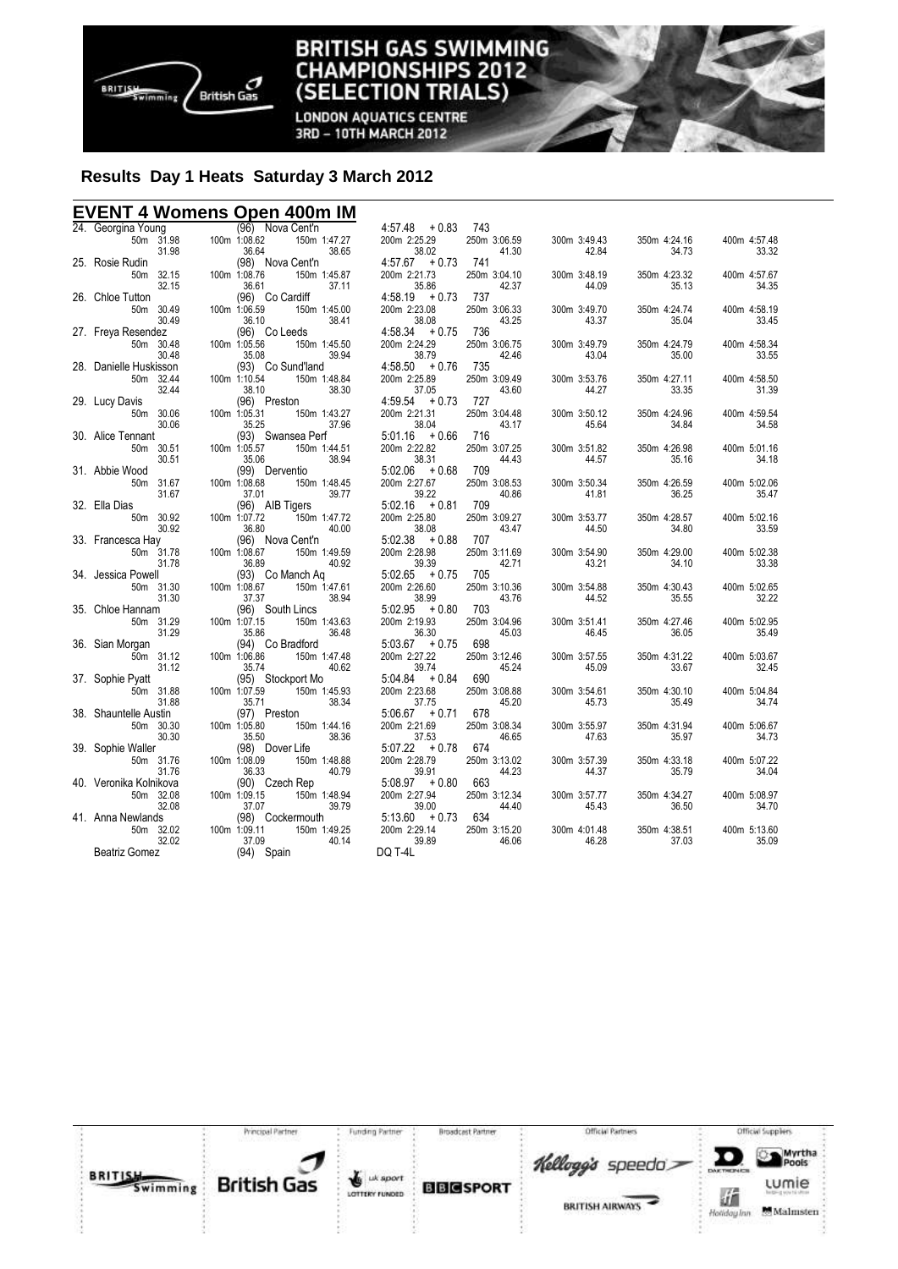

#### **TISH GAS SWIMMING** BRI **IAMPIONSHIPS 2012** Cŀ **TRIALS)** (SELEC ION

**LONDON AQUATICS CENTRE** 3RD - 10TH MARCH 2012

# **Results Day 1 Heats Saturday 3 March 2012**

### **EVENT 4 Womens Open 400m IM**

|                                                                                                         | (96) Nova Cent'n                                                                                                                                                                                                                                         | $4:57.48 + 0.83$      | 743                   |                       |                       |                       |
|---------------------------------------------------------------------------------------------------------|----------------------------------------------------------------------------------------------------------------------------------------------------------------------------------------------------------------------------------------------------------|-----------------------|-----------------------|-----------------------|-----------------------|-----------------------|
| 24.  Georgina Young                           (96)    N<br>50m    31.98          100m  1:08.62<br>31.98 | 150m 1:47.27<br>38.65<br>36.64                                                                                                                                                                                                                           | 200m 2:25.29<br>38.02 | 250m 3:06.59<br>41.30 | 300m 3:49.43<br>42.84 | 350m 4:24.16<br>34.73 | 400m 4:57.48<br>33.32 |
| 25. Rosie Rudin                                                                                         | (98) Nova Cent'n                                                                                                                                                                                                                                         | $4:57.67 + 0.73$ 741  |                       |                       |                       |                       |
| 50m 32.15                                                                                               | ۱ (98)<br>100m 1:08.76                                                                                                                                                                                                                                   | 200m 2:21.73          | 250m 3:04.10          | 300m 3:48.19          | 350m 4:23.32          | 400m 4:57.67          |
| 32.15                                                                                                   | 150m 1:45.87<br>37.11<br>Cardiff<br>36.61                                                                                                                                                                                                                | 35.86                 | 42.37                 | 44.09                 | 35.13                 | 34.35                 |
| 26. Chloe Tutton                                                                                        | (96) Co Cardiff                                                                                                                                                                                                                                          | $4.58.19 + 0.73$ 737  |                       |                       |                       |                       |
| 50m 30.49                                                                                               | 100m 1:06.59<br>150m 1:45.00                                                                                                                                                                                                                             | 200m 2:23.08          | 250m 3:06.33          | 300m 3:49.70          | 350m 4:24.74          | 400m 4:58.19          |
| 30.49                                                                                                   | 38.41<br>36.10                                                                                                                                                                                                                                           | 38.08                 | 43.25                 | 43.37                 | 35.04                 | 33.45                 |
| 27. Freya Resendez                                                                                      | $(96)$ Co Leeds                                                                                                                                                                                                                                          | $4:58.34 + 0.75$ 736  |                       |                       |                       |                       |
| 50m 30.48                                                                                               | 100m 1:05.56                                                                                                                                                                                                                                             | 200m 2:24.29          | 250m 3:06.75          | 300m 3:49.79          | 350m 4:24.79          | 400m 4:58.34          |
| 30.48                                                                                                   |                                                                                                                                                                                                                                                          | 38.79                 | 42.46                 | 43.04                 | 35.00                 | 33.55                 |
| 28. Danielle Huskisson                                                                                  |                                                                                                                                                                                                                                                          | $4:58.50 + 0.76$ 735  |                       |                       |                       |                       |
| 50m 32.44                                                                                               | $100m$ 1:10.54                                                                                                                                                                                                                                           | 200m 2:25.89          | 250m 3:09.49          | 300m 3:53.76          | 350m 4:27.11          | 400m 4:58.50          |
| 32.44                                                                                                   |                                                                                                                                                                                                                                                          | 37.05                 | 43.60                 | 44.27                 | 33.35                 | 31.39                 |
| 29. Lucy Davis                                                                                          |                                                                                                                                                                                                                                                          | $4:59.54 + 0.73$ 727  |                       |                       |                       |                       |
| 50m 30.06                                                                                               | $100m$ 1:05.31                                                                                                                                                                                                                                           | 200m 2:21.31          | 250m 3:04.48          | 300m 3:50.12          | 350m 4:24.96          | 400m 4:59.54          |
| 30.06                                                                                                   |                                                                                                                                                                                                                                                          | 38.04                 | 43.17                 | 45.64                 | 34.84                 | 34.58                 |
| 30. Alice Tennant                                                                                       |                                                                                                                                                                                                                                                          | $5:01.16 + 0.66$ 716  |                       |                       |                       |                       |
| 50m 30.51                                                                                               | $100m$ $1:05.57$                                                                                                                                                                                                                                         | 200m 2:22.82          | 250m 3:07.25          | 300m 3:51.82          | 350m 4:26.98          | 400m 5:01.16          |
| 30.51                                                                                                   |                                                                                                                                                                                                                                                          | 38.31                 | 44.43                 | 44.57                 | 35.16                 | 34.18                 |
| 31. Abbie Wood                                                                                          |                                                                                                                                                                                                                                                          | $5:02.06 + 0.68$ 709  |                       |                       |                       |                       |
| 50m 31.67                                                                                               | 100m 1:08.68                                                                                                                                                                                                                                             | 200m 2:27.67          | 250m 3:08.53          | 300m 3:50.34          | 350m 4:26.59          | 400m 5:02.06          |
| 31.67                                                                                                   |                                                                                                                                                                                                                                                          | 39.22                 | 40.86                 | 41.81                 | 36.25                 | 35.47                 |
| 32. Ella Dias                                                                                           |                                                                                                                                                                                                                                                          | $5:02.16 + 0.81 709$  |                       |                       |                       |                       |
| 50m 30.92                                                                                               | 100m 1:07.72                                                                                                                                                                                                                                             | 200m 2:25.80          | 250m 3:09.27          | 300m 3:53.77          | 350m 4:28.57          | 400m 5:02.16          |
| 30.92                                                                                                   |                                                                                                                                                                                                                                                          | 38.08                 | 43.47                 | 44.50                 | 34.80                 | 33.59                 |
| 33. Francesca Hay                                                                                       |                                                                                                                                                                                                                                                          | $5:02.38 + 0.88$      | 707                   |                       |                       |                       |
| ca Hay (96) N<br>50m 31.78 100m 1:08.67                                                                 |                                                                                                                                                                                                                                                          | 200m 2:28.98          | 250m 3:11.69          | 300m 3:54.90          | 350m 4:29.00          | 400m 5:02.38          |
| 31.78                                                                                                   |                                                                                                                                                                                                                                                          | 39.39                 | 42.71                 | 43.21                 | 34.10                 | 33.38                 |
| 34. Jessica Powell                                                                                      | 96) Co Leeds<br>1.05.56 150m 1:45.50<br>3.08 3.08 39.94<br>1.10.54 150m 1:48.84<br>3.10 38.30<br>1:10.54 150m 1:48.84<br>3.30<br>96) Co Sund'land<br>1:10.54 150m 1:48.84<br>38.30<br>96) Preston<br>1.95.57 150m 1:44.51<br>93) Swansea Perf<br>1.05.57 | $5:02.65 + 0.75$      | 705                   |                       |                       |                       |
| Powell (93) (<br>50m 31.30 100m 1:08.67                                                                 | (93) Co Manch Aq<br>1:08.67 150m 1:47.61<br>37.37 38.94                                                                                                                                                                                                  | 200m 2:26.60          | 250m 3:10.36          | 300m 3:54.88          | 350m 4:30.43          | 400m 5:02.65          |
| 31.30                                                                                                   | 38.94<br>37.37                                                                                                                                                                                                                                           | 38.99                 | 43.76                 | 44.52                 | 35.55                 | 32.22                 |
| 35. Chloe Hannam                                                                                        | (96) South Lincs                                                                                                                                                                                                                                         | $5:02.95 + 0.80 703$  |                       |                       |                       |                       |
| annam (96) {<br>50m 31.29 100m 1:07.15                                                                  | Lincs<br>150m 1:43.63<br>36.48                                                                                                                                                                                                                           | 200m 2:19.93          | 250m 3:04.96          | 300m 3:51.41          | 350m 4:27.46          | 400m 5:02.95          |
| 31.29                                                                                                   | 36.48<br>35.86                                                                                                                                                                                                                                           | 36.30                 | 45.03                 | 46.45                 | 36.05                 | 35.49                 |
| 36. Sian Morgan                                                                                         | (94) Co Bradford                                                                                                                                                                                                                                         | $5:03.67 + 0.75$      | 698                   |                       |                       |                       |
| rgan<br>50m 31.12                                                                                       | radford<br>150m 1:47.48<br>40.62<br>100m 1:06.86                                                                                                                                                                                                         | 200m 2:27.22          | 250m 3:12.46          | 300m 3:57.55          | 350m 4:31.22          | 400m 5:03.67          |
| 31.12                                                                                                   | 40.62<br>35.74                                                                                                                                                                                                                                           | 39.74                 | 45.24                 | 45.09                 | 33.67                 | 32.45                 |
| 37. Sophie Pyatt                                                                                        | (95) Stockport Mo                                                                                                                                                                                                                                        | $5:04.84 + 0.84$      | 690                   |                       |                       |                       |
| 50m 31.88                                                                                               | ockport Mo<br>150m 1:45.93<br>38.34<br>100m 1:07.59                                                                                                                                                                                                      | 200m 2:23.68          | 250m 3:08.88          | 300m 3:54.61          | 350m 4:30.10          | 400m 5:04.84          |
| 31.88                                                                                                   | 35.71                                                                                                                                                                                                                                                    | 37.75                 | 45.20                 | 45.73                 | 35.49                 | 34.74                 |
| 38. Shauntelle Austin                                                                                   | ston<br>150m 1:44.16<br>38.36<br>(97) Preston                                                                                                                                                                                                            | $5:06.67 + 0.71$      | 678                   |                       |                       |                       |
| 50m 30.30                                                                                               | 97)<br>100m 1:05.80                                                                                                                                                                                                                                      | 200m 2:21.69          | 250m 3:08.34          | 300m 3:55.97          | 350m 4:31.94          | 400m 5:06.67          |
| 30.30                                                                                                   | 38.36<br>35.50                                                                                                                                                                                                                                           | 37.53                 | 46.65                 | 47.63                 | 35.97                 | 34.73                 |
| 39. Sophie Waller                                                                                       |                                                                                                                                                                                                                                                          | $5:07.22 + 0.78$ 674  |                       |                       |                       |                       |
| 50m 31.76                                                                                               | ا (98)<br>100m 1:08.09                                                                                                                                                                                                                                   | 200m 2:28.79          | 250m 3:13.02          | 300m 3:57.39          | 350m 4:33.18          | 400m 5:07.22          |
| 31.76                                                                                                   |                                                                                                                                                                                                                                                          | 39.91                 | 44.23                 | 44.37                 | 35.79                 | 34.04                 |
| 40. Veronika Kolnikova                                                                                  |                                                                                                                                                                                                                                                          | $5.08.97 + 0.80$      | 663                   |                       |                       |                       |
| 50m 32.08                                                                                               | $(90)$ ( $(90)$ 100m 1:09.15                                                                                                                                                                                                                             | 200m 2:27.94          | 250m 3:12.34          | 300m 3:57.77          | 350m 4:34.27          | 400m 5:08.97          |
| 32.08                                                                                                   |                                                                                                                                                                                                                                                          | 39.00                 | 44.40                 | 45.43                 | 36.50                 | 34.70                 |
| $08$ $37.07$<br>(98) (<br>02 $100$ m 1:09.11<br>12<br>41. Anna Newlands                                 | 35.50<br>(98) Dover Life<br>1:08.09 150m 1:48.88<br>36.33 40.79<br>(90) Czech Rep<br>1:09.15 150m 1:48.94<br>1:09.17<br>37.07 (98) Cockermouth<br>1:09.11 150m 1:49.25<br>37.09 40.14                                                                    | $5:13.60 + 0.73$ 634  |                       |                       |                       |                       |
| 50m 32.02                                                                                               |                                                                                                                                                                                                                                                          | 200m 2:29.14          | 250m 3:15.20          | 300m 4:01.48          | 350m 4:38.51          | 400m 5:13.60          |
| 32.02                                                                                                   |                                                                                                                                                                                                                                                          | 39.89                 | 46.06                 | 46.28                 | 37.03                 | 35.09                 |
| <b>Beatriz Gomez</b>                                                                                    | (94) Spain                                                                                                                                                                                                                                               | DQ T-4L               |                       |                       |                       |                       |
|                                                                                                         |                                                                                                                                                                                                                                                          |                       |                       |                       |                       |                       |



**Broadcast Partner** 

Funding Partner



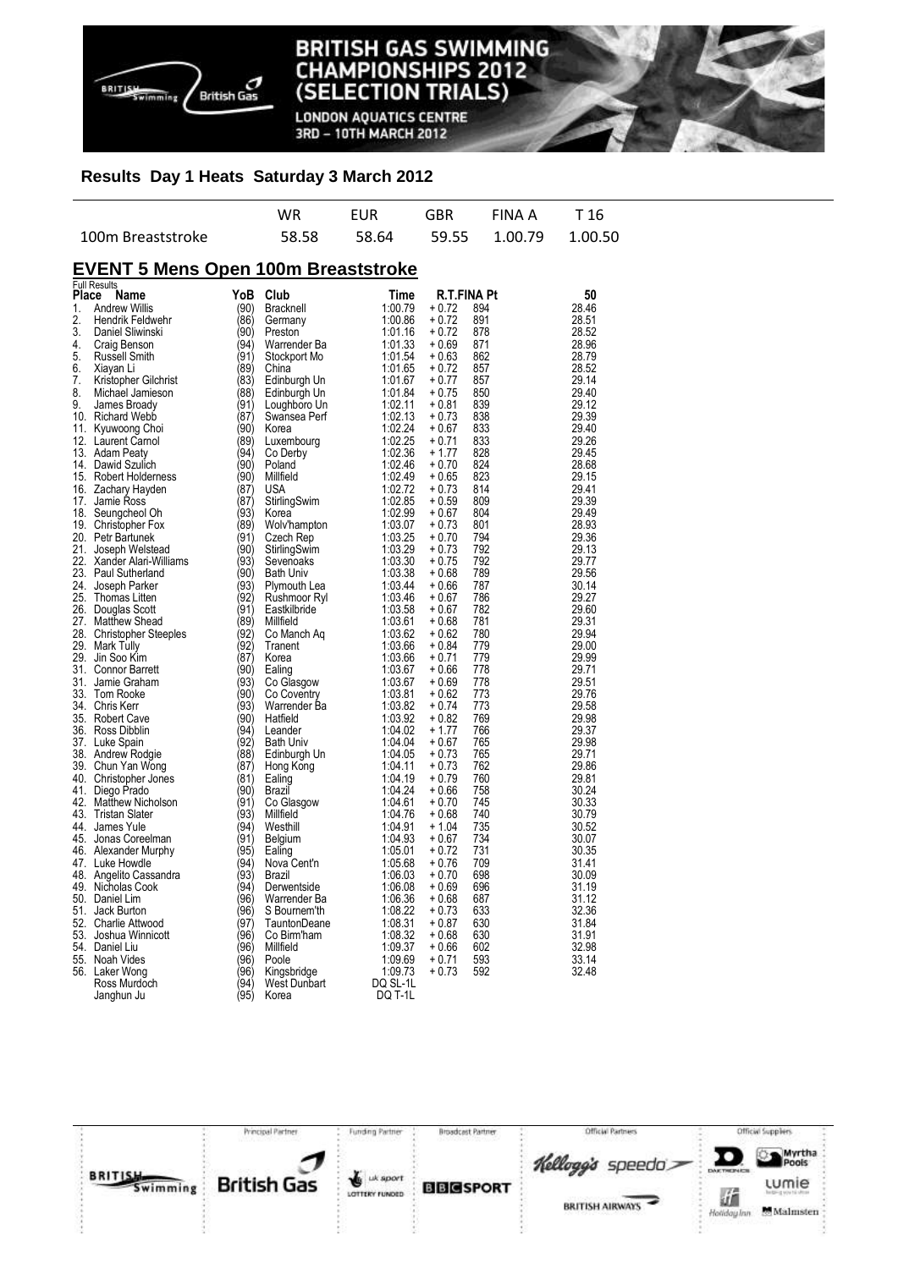

**LONDON AQUATICS CENTRE** 3RD - 10TH MARCH 2012

## **Results Day 1 Heats Saturday 3 March 2012**

|                   | WR. | <b>FUR</b> | GBR | FINA A T16                        |  |
|-------------------|-----|------------|-----|-----------------------------------|--|
| 100m Breaststroke |     |            |     | 58.58 58.64 59.55 1.00.79 1.00.50 |  |

# **EVENT 5 Mens Open 100m Breaststroke**

|       | <b>Full Results</b>       |      |                  |          |             |     |       |
|-------|---------------------------|------|------------------|----------|-------------|-----|-------|
| Place | Name                      | YoB  | Club             | Time     | R.T.FINA Pt |     | 50    |
| 1.    | <b>Andrew Willis</b>      | (90) | <b>Bracknell</b> | 1:00.79  | + 0.72      | 894 | 28.46 |
| 2.    | Hendrik Feldwehr          | (86) | Germany          | 1:00.86  | + 0.72      | 891 | 28.51 |
| 3.    | Daniel Sliwinski          | (90) | Preston          | 1:01.16  | + 0.72      | 878 | 28.52 |
| 4.    | Craig Benson              | (94) | Warrender Ba     | 1:01.33  | + 0.69      | 871 | 28.96 |
| 5.    | Russell Smith             | (91) | Stockport Mo     | 1:01.54  | + 0.63      | 862 | 28.79 |
| 6.    | Xiayan Li                 | (89) | China            | 1:01.65  | + 0.72      | 857 | 28.52 |
| 7.    | Kristopher Gilchrist      | (83) | Edinburgh Un     | 1:01.67  | + 0.77      | 857 | 29.14 |
| 8.    | Michael Jamieson          | (88) | Edinburgh Un     | 1:01.84  | + 0.75      | 850 | 29.40 |
| 9.    | James Broady              | (91) | Loughboro Un     | 1:02.11  | + 0.81      | 839 | 29.12 |
|       | 10. Richard Webb          | (87) | Swansea Perf     | 1:02.13  | + 0.73      | 838 | 29.39 |
|       | 11. Kyuwoong Choi         | (90) | Korea            | 1:02.24  | + 0.67      | 833 | 29.40 |
|       | 12. Laurent Carnol        | (89) | Luxembourg       | 1:02.25  | + 0.71      | 833 | 29.26 |
|       | 13. Adam Peaty            | (94) | Co Derby         | 1:02.36  | + 1.77      | 828 | 29.45 |
|       | 14. Dawid Szulich         | (90) | Poland           | 1:02.46  | + 0.70      | 824 | 28.68 |
| 15.   |                           | (90) | Millfield        | 1:02.49  | + 0.65      | 823 | 29.15 |
|       | Robert Holderness         |      |                  |          |             |     |       |
|       | 16. Zachary Hayden        | (87) | USA              | 1:02.72  | + 0.73      | 814 | 29.41 |
| 17.   | Jamie Ross                | (87) | StirlingSwim     | 1:02.85  | + 0.59      | 809 | 29.39 |
| 18.   | Seungcheol Oh             | (93) | Korea            | 1:02.99  | $+0.67$     | 804 | 29.49 |
|       | 19. Christopher Fox       | (89) | Wolv'hampton     | 1:03.07  | + 0.73      | 801 | 28.93 |
|       | 20. Petr Bartunek         | (91) | Czech Rep        | 1:03.25  | + 0.70      | 794 | 29.36 |
| 21.   | Joseph Welstead           | (90) | StirlingSwim     | 1:03.29  | + 0.73      | 792 | 29.13 |
|       | 22. Xander Alari-Williams | (93) | Sevenoaks        | 1:03.30  | + 0.75      | 792 | 29.77 |
|       | 23. Paul Sutherland       | (90) | <b>Bath Univ</b> | 1:03.38  | + 0.68      | 789 | 29.56 |
| 24.   | Joseph Parker             | (93) | Plymouth Lea     | 1:03.44  | + 0.66      | 787 | 30.14 |
| 25.   | Thomas Litten             | (92) | Rushmoor Ryl     | 1:03.46  | + 0.67      | 786 | 29.27 |
| 26.   | Douglas Scott             | (91) | Eastkilbride     | 1:03.58  | + 0.67      | 782 | 29.60 |
| 27.   | Matthew Shead             | (89) | Millfield        | 1:03.61  | + 0.68      | 781 | 29.31 |
|       | 28. Christopher Steeples  | (92) | Co Manch Aq      | 1:03.62  | + 0.62      | 780 | 29.94 |
| 29.   | Mark Tully                | (92) | Tranent          | 1:03.66  | + 0.84      | 779 | 29.00 |
| 29.   | Jin Soo Kim               | (87) | Korea            | 1:03.66  | + 0.71      | 779 | 29.99 |
|       | 31. Connor Barrett        | (90) | Ealing           | 1:03.67  | + 0.66      | 778 | 29.71 |
| 31.   | Jamie Graham              | (93) | Co Glasgow       | 1:03.67  | + 0.69      | 778 | 29.51 |
|       | 33. Tom Rooke             | (90) | Co Coventry      | 1:03.81  | + 0.62      | 773 | 29.76 |
|       | 34. Chris Kerr            | (93) | Warrender Ba     | 1:03.82  | + 0.74      | 773 | 29.58 |
|       | 35. Robert Cave           | (90) | Hatfield         | 1:03.92  | + 0.82      | 769 | 29.98 |
|       | 36. Ross Dibblin          | (94) | Leander          | 1:04.02  | + 1.77      | 766 | 29.37 |
|       | 37. Luke Spain            | (92) | <b>Bath Univ</b> | 1:04.04  | + 0.67      | 765 | 29.98 |
|       | 38. Andrew Rodgie         | (88) | Edinburgh Un     | 1:04.05  | + 0.73      | 765 | 29.71 |
|       | 39. Chun Yan Wong         | (87) | Hong Kong        | 1:04.11  | + 0.73      | 762 | 29.86 |
|       | 40. Christopher Jones     | (81) | Ealing           | 1:04.19  | + 0.79      | 760 | 29.81 |
|       | 41. Diego Prado           | (90) | Brazil           | 1:04.24  | + 0.66      | 758 | 30.24 |
| 42.   | <b>Matthew Nicholson</b>  | (91) | Co Glasgow       | 1:04.61  | $+0.70$     | 745 | 30.33 |
|       | 43. Tristan Slater        | (93) | Millfield        | 1:04.76  | + 0.68      | 740 | 30.79 |
| 44.   | James Yule                | (94) | Westhill         | 1:04.91  | + 1.04      | 735 | 30.52 |
| 45.   | Jonas Coreelman           | (91) | Belgium          | 1:04.93  | + 0.67      | 734 | 30.07 |
|       | 46. Alexander Murphy      | (95) | Ealing           | 1:05.01  | + 0.72      | 731 | 30.35 |
|       | 47. Luke Howdle           | (94) | Nova Cent'n      | 1:05.68  | + 0.76      | 709 | 31.41 |
|       | 48. Angelito Cassandra    | (93) | Brazil           | 1:06.03  | + 0.70      | 698 | 30.09 |
|       | 49. Nicholas Cook         | (94) |                  | 1:06.08  | + 0.69      | 696 | 31.19 |
|       |                           |      | Derwentside      |          |             |     |       |
|       | 50. Daniel Lim            | (96) | Warrender Ba     | 1:06.36  | + 0.68      | 687 | 31.12 |
| 51.   | Jack Burton               | (96) | S Bournem'th     | 1:08.22  | $+0.73$     | 633 | 32.36 |
|       | 52. Charlie Attwood       | (97) | TauntonDeane     | 1:08.31  | + 0.87      | 630 | 31.84 |
|       | 53. Joshua Winnicott      | (96) | Co Birm'ham      | 1:08.32  | + 0.68      | 630 | 31.91 |
|       | 54. Daniel Liu            | (96) | Millfield        | 1:09.37  | $+0.66$     | 602 | 32.98 |
|       | 55. Noah Vides            | (96) | Poole            | 1:09.69  | + 0.71      | 593 | 33.14 |
| 56.   | Laker Wong                | (96) | Kingsbridge      | 1:09.73  | + 0.73      | 592 | 32.48 |
|       | Ross Murdoch              | (94) | West Dunbart     | DQ SL-1L |             |     |       |
|       | Janghun Ju                | (95) | Korea            | DQ T-1L  |             |     |       |

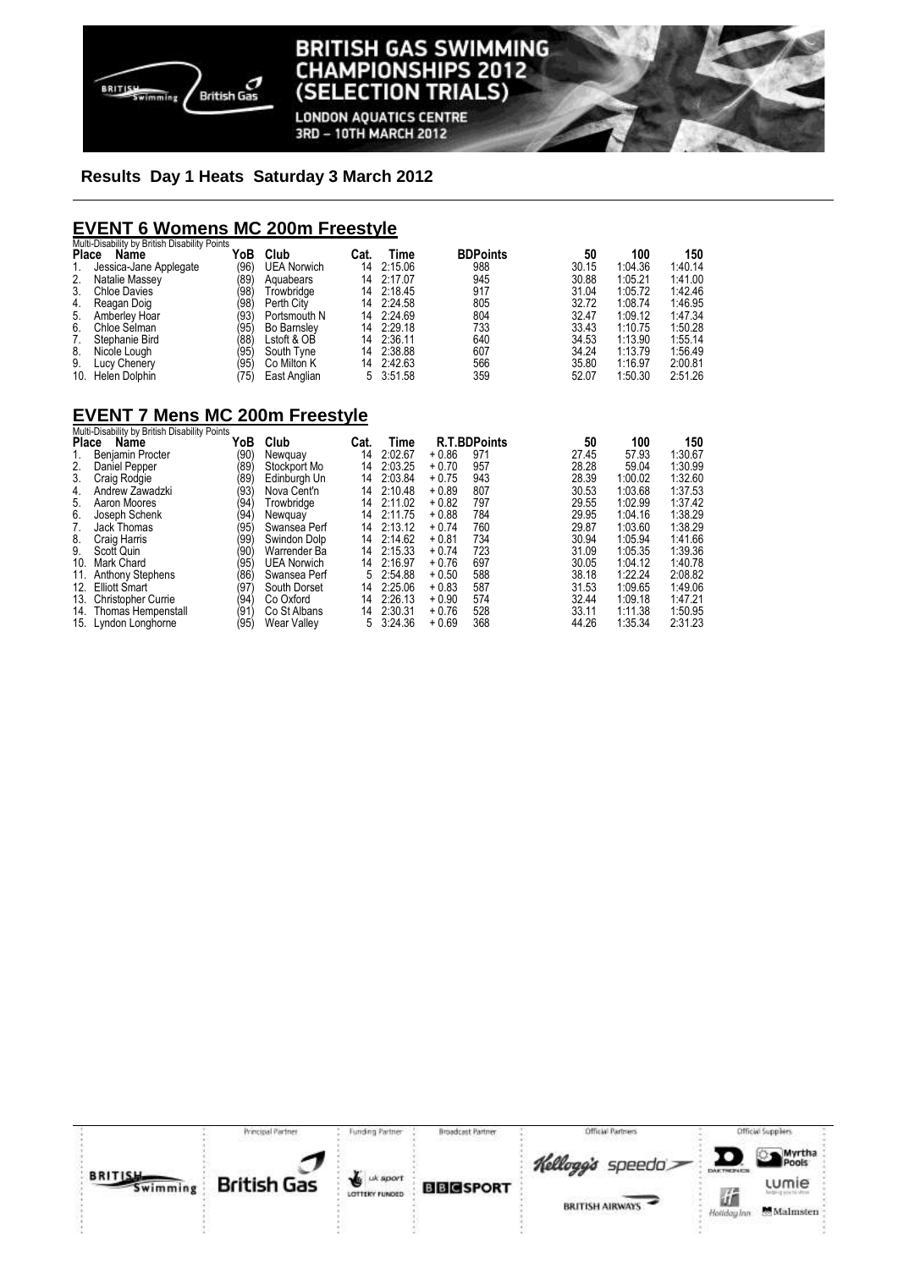

**LONDON AQUATICS CENTRE** 3RD - 10TH MARCH 2012

# **Results Day 1 Heats Saturday 3 March 2012**

# **EVENT 6 Womens MC 200m Freestyle**

|    | Multi-Disability by British Disability Points |      |                    |      |            |                 |       |         |         |
|----|-----------------------------------------------|------|--------------------|------|------------|-----------------|-------|---------|---------|
|    | Place<br>Name                                 | YoB  | Club               | Cat. | Time       | <b>BDPoints</b> | 50    | 100     | 150     |
|    | Jessica-Jane Applegate                        | (96) | <b>UEA Norwich</b> | 14   | 2:15.06    | 988             | 30.15 | 1:04.36 | 1:40.14 |
| 2. | Natalie Massey                                | (89) | Aguabears          |      | 14 2:17.07 | 945             | 30.88 | 1:05.21 | 1:41.00 |
| 3. | <b>Chloe Davies</b>                           | (98) | Trowbridge         |      | 14 2:18.45 | 917             | 31.04 | 1:05.72 | 1:42.46 |
| 4. | Reagan Doig                                   | (98) | Perth City         | 14   | 2:24.58    | 805             | 32.72 | 1:08.74 | 1:46.95 |
| 5. | Amberley Hoar                                 | (93) | Portsmouth N       |      | 14 2:24.69 | 804             | 32.47 | 1:09.12 | 1:47.34 |
| 6. | Chloe Selman                                  | (95  | <b>Bo Barnsley</b> |      | 14 2:29.18 | 733             | 33.43 | 1:10.75 | 1:50.28 |
|    | Stephanie Bird                                | (88) | Lstoft & OB        | 14   | 2:36.11    | 640             | 34.53 | 1:13.90 | 1:55.14 |
| 8. | Nicole Lough                                  | (95  | South Tyne         | 14   | 2:38.88    | 607             | 34.24 | 1:13.79 | 1:56.49 |
| 9. | Lucy Chenery                                  | (95) | Co Milton K        |      | 14 2:42.63 | 566             | 35.80 | 1:16.97 | 2:00.81 |
|    | 10. Helen Dolphin                             | 75)  | East Anglian       |      | 5 3:51.58  | 359             | 52.07 | 1:50.30 | 2:51.26 |

# **EVENT 7 Mens MC 200m Freestyle**  Multi-Disability by British Disability Points

| <b>MULL-DISADILLY DY DITUSH DISADILLY FULLIS</b> |                                                                                                                     |                    |      |         |                            |     |                     |         |                |
|--------------------------------------------------|---------------------------------------------------------------------------------------------------------------------|--------------------|------|---------|----------------------------|-----|---------------------|---------|----------------|
|                                                  |                                                                                                                     |                    |      |         |                            |     |                     |         | 150            |
| <b>Benjamin Procter</b>                          | (90)                                                                                                                | Newguay            | 14   | 2:02.67 | $+0.86$                    | 971 | 27.45               | 57.93   | 1:30.67        |
| Daniel Pepper                                    | (89                                                                                                                 | Stockport Mo       | 14   | 2:03.25 | $+0.70$                    | 957 | 28.28               | 59.04   | 1:30.99        |
| Craig Rodgie                                     | (89)                                                                                                                | Edinburgh Un       | 14   | 2:03.84 | $+0.75$                    | 943 | 28.39               | 1:00.02 | 1:32.60        |
| Andrew Zawadzki                                  | (93)                                                                                                                | Nova Cent'n        | 14   | 2:10.48 | $+0.89$                    | 807 | 30.53               | 1:03.68 | 1:37.53        |
| Aaron Moores                                     | (94)                                                                                                                | Trowbridge         | 14   |         | $+0.82$                    | 797 | 29.55               | 1:02.99 | 1:37.42        |
| Joseph Schenk                                    | (94)                                                                                                                | Newguay            | 14   | 2:11.75 | $+0.88$                    | 784 | 29.95               | 1:04.16 | 1:38.29        |
| Jack Thomas                                      | (95)                                                                                                                | Swansea Perf       | 14   | 2:13.12 | $+0.74$                    | 760 | 29.87               | 1:03.60 | 1:38.29        |
| Craig Harris                                     | (99)                                                                                                                | Swindon Dolp       | 14   | 2:14.62 | $+0.81$                    | 734 | 30.94               | 1:05.94 | 1:41.66        |
| Scott Quin                                       | (90)                                                                                                                | Warrender Ba       | 14   |         | $+0.74$                    | 723 | 31.09               | 1:05.35 | 1:39.36        |
| Mark Chard                                       | (95)                                                                                                                | <b>UEA Norwich</b> | 14   | 2:16.97 | $+0.76$                    | 697 | 30.05               | 1:04.12 | 1:40.78        |
| <b>Anthony Stephens</b>                          | (86)                                                                                                                | Swansea Perf       | 5    | 2:54.88 | $+0.50$                    | 588 | 38.18               | 1:22.24 | 2:08.82        |
|                                                  | (97                                                                                                                 | South Dorset       | 14   | 2:25.06 | $+0.83$                    | 587 | 31.53               |         | 1:49.06        |
| <b>Christopher Currie</b>                        | (94)                                                                                                                | Co Oxford          | 14   | 2:26.13 | $+0.90$                    | 574 | 32.44               | 1:09.18 | 1:47.21        |
|                                                  | (91                                                                                                                 | Co St Albans       | 14   | 2:30.31 | $+0.76$                    | 528 | 33.11               | 1:11.38 | 1:50.95        |
|                                                  | (95)                                                                                                                | <b>Wear Valley</b> | 5    | 3:24.36 | $+0.69$                    | 368 | 44.26               | 1:35.34 | 2:31.23        |
|                                                  | <b>Name</b><br>Place<br>11.<br><b>Elliott Smart</b><br>12.<br>13.<br>14. Thomas Hempenstall<br>15. Lyndon Longhorne | YoB                | Club | Cat.    | Time<br>2:11.02<br>2:15.33 |     | <b>R.T.BDPoints</b> | 50      | 100<br>1:09.65 |

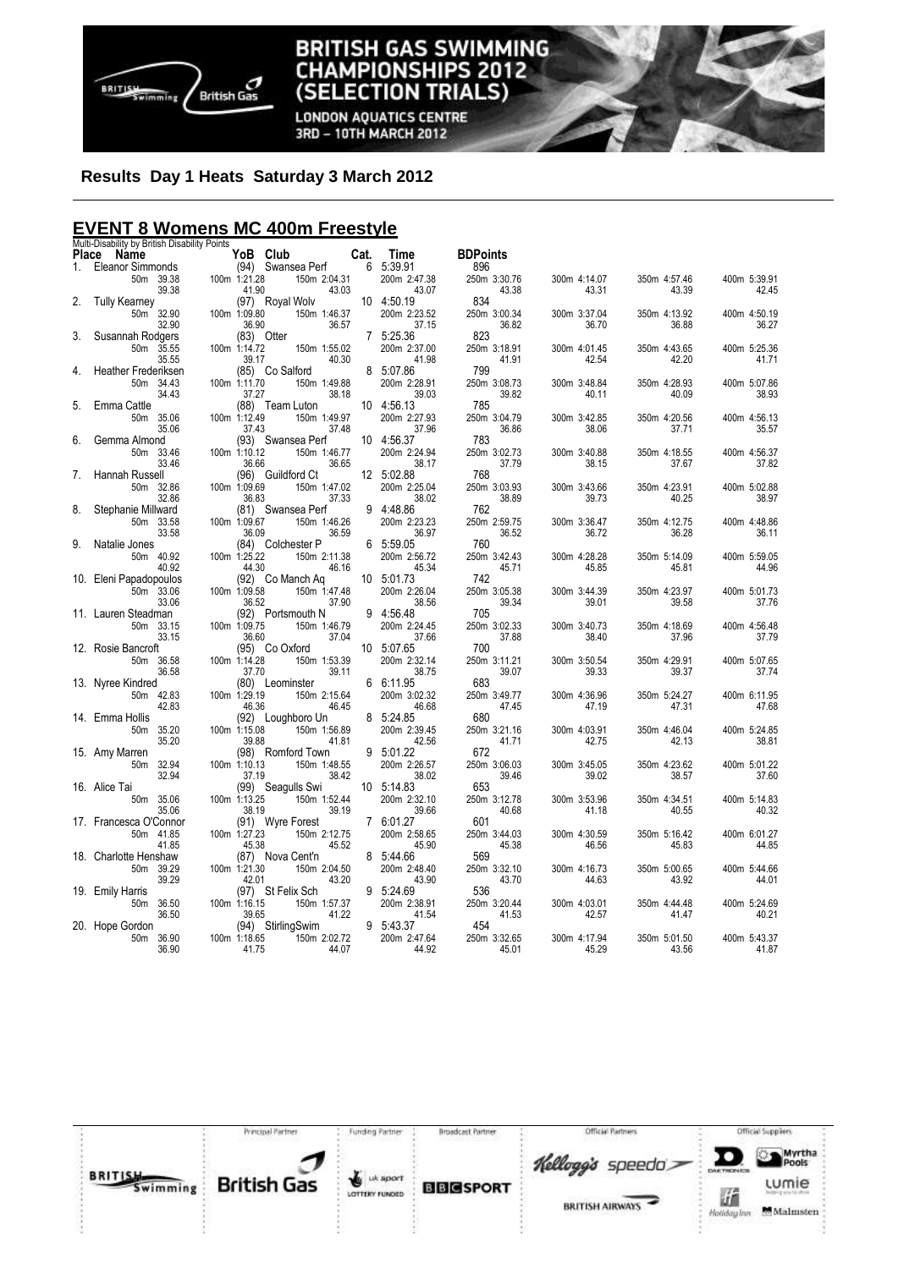

**LONDON AQUATICS CENTRE** 3RD - 10TH MARCH 2012

# **Results Day 1 Heats Saturday 3 March 2012**

# **EVENT 8 Womens MC 400m Freestyle**

|       | Multi-Disability by British Disability Points |                            |                       |                            |                       |                       |                       |                       |
|-------|-----------------------------------------------|----------------------------|-----------------------|----------------------------|-----------------------|-----------------------|-----------------------|-----------------------|
| Place | Name                                          | YoB Club                   | Cat.                  | Time                       | <b>BDPoints</b>       |                       |                       |                       |
| 1.    | Eleanor Simmonds                              | (94) Swansea Perf          |                       | 6 5:39.91                  | 896                   |                       |                       |                       |
|       | 50m 39.38                                     | 100m 1:21.28               | 150m 2:04.31<br>43.03 | 200m 2:47.38               | 250m 3:30.76          | 300m 4:14.07          | 350m 4:57.46<br>43.39 | 400m 5:39.91          |
| 2.    | 39.38<br><b>Tully Kearney</b>                 | 41.90<br>(97) Royal Wolv   |                       | 43.07<br>10 4:50.19        | 43.38<br>834          | 43.31                 |                       | 42.45                 |
|       | 50m 32.90                                     | 100m 1:09.80               | 150m 1:46.37          | 200m 2:23.52               | 250m 3:00.34          | 300m 3:37.04          | 350m 4:13.92          | 400m 4:50.19          |
|       | 32.90                                         | 36.90                      | 36.57                 | 37.15                      | 36.82                 | 36.70                 | 36.88                 | 36.27                 |
| 3.    | Susannah Rodgers                              | (83) Otter                 |                       | 7 5:25.36                  | 823                   |                       |                       |                       |
|       | 50m 35.55                                     | 100m 1:14.72               | 150m 1:55.02          | 200m 2:37.00               | 250m 3:18.91          | 300m 4:01.45          | 350m 4:43.65          | 400m 5:25.36          |
|       | 35.55                                         | 39.17                      | 40.30                 | 41.98                      | 41.91                 | 42.54                 | 42.20                 | 41.71                 |
| 4.    | <b>Heather Frederiksen</b>                    | (85) Co Salford            |                       | 8 5:07.86                  | 799                   |                       |                       |                       |
|       | 50m 34.43                                     | 100m 1:11.70               | 150m 1:49.88          | 200m 2:28.91               | 250m 3:08.73          | 300m 3:48.84          | 350m 4:28.93          | 400m 5:07.86          |
|       | 34.43                                         | 37.27                      | 38.18                 | 39.03                      | 39.82                 | 40.11                 | 40.09                 | 38.93                 |
| 5.    | Emma Cattle                                   | (88) Team Luton            |                       | 10 4:56.13                 | 785                   |                       |                       |                       |
|       | 50m 35.06                                     | 100m 1:12.49               | 150m 1:49.97          | 200m 2:27.93               | 250m 3:04.79          | 300m 3:42.85          | 350m 4:20.56          | 400m 4:56.13          |
| 6.    | 35.06<br>Gemma Almond                         | 37.43<br>(93) Swansea Perf | 37.48                 | 37.96<br>10 4:56.37        | 36.86<br>783          | 38.06                 | 37.71                 | 35.57                 |
|       | 50m 33.46                                     | 100m 1:10.12               | 150m 1:46.77          | 200m 2:24.94               | 250m 3:02.73          | 300m 3:40.88          | 350m 4:18.55          | 400m 4:56.37          |
|       | 33.46                                         | 36.66                      | 36.65                 | 38.17                      | 37.79                 | 38.15                 | 37.67                 | 37.82                 |
| 7.    | Hannah Russell                                | (96) Guildford Ct          |                       | 12 5:02.88                 | 768                   |                       |                       |                       |
|       | 50m 32.86                                     | 100m 1:09.69               | 150m 1:47.02          | 200m 2:25.04               | 250m 3:03.93          | 300m 3:43.66          | 350m 4:23.91          | 400m 5:02.88          |
|       | 32.86                                         | 36.83                      | 37.33                 | 38.02                      | 38.89                 | 39.73                 | 40.25                 | 38.97                 |
| 8.    | Stephanie Millward                            | (81) Swansea Perf          |                       | 9 4:48.86                  | 762                   |                       |                       |                       |
|       | 50m 33.58                                     | 100m 1:09.67               | 150m 1:46.26          | 200m 2:23.23               | 250m 2:59.75          | 300m 3:36.47          | 350m 4:12.75          | 400m 4:48.86          |
|       | 33.58                                         | 36.09                      | 36.59                 | 36.97                      | 36.52                 | 36.72                 | 36.28                 | 36.11                 |
| 9.    | Natalie Jones                                 | (84) Colchester P          |                       | 6 5:59.05                  | 760                   |                       |                       |                       |
|       | 50m 40.92                                     | 100m 1:25.22               | 150m 2:11.38          | 200m 2:56.72               | 250m 3:42.43          | 300m 4:28.28          | 350m 5:14.09          | 400m 5:59.05          |
|       | 40.92                                         | 44.30                      | 46.16                 | 45.34                      | 45.71                 | 45.85                 | 45.81                 | 44.96                 |
|       | 10. Eleni Papadopoulos                        | (92) Co Manch Ag           |                       | 10 5:01.73                 | 742                   |                       |                       |                       |
|       | 50m 33.06                                     | 100m 1:09.58               | 150m 1:47.48          | 200m 2:26.04               | 250m 3:05.38          | 300m 3:44.39          | 350m 4:23.97          | 400m 5:01.73          |
|       | 33.06                                         | 36.52                      | 37.90                 | 38.56                      | 39.34                 | 39.01                 | 39.58                 | 37.76                 |
|       | 11. Lauren Steadman                           | (92) Portsmouth N          |                       | 9 4:56.48                  | 705                   |                       |                       |                       |
|       | 50m 33.15<br>33.15                            | 100m 1:09.75<br>36.60      | 150m 1:46.79<br>37.04 | 200m 2:24.45<br>37.66      | 250m 3:02.33<br>37.88 | 300m 3:40.73<br>38.40 | 350m 4:18.69<br>37.96 | 400m 4:56.48<br>37.79 |
|       | 12. Rosie Bancroft                            | (95) Co Oxford             |                       | 10 5:07.65                 | 700                   |                       |                       |                       |
|       | 50m 36.58                                     | 100m 1:14.28               | 150m 1:53.39          | 200m 2:32.14               | 250m 3:11.21          | 300m 3:50.54          | 350m 4:29.91          | 400m 5:07.65          |
|       | 36.58                                         | 37.70                      | 39.11                 | 38.75                      | 39.07                 | 39.33                 | 39.37                 | 37.74                 |
|       | 13. Nyree Kindred                             | (80) Leominster            |                       | 6 6:11.95                  | 683                   |                       |                       |                       |
|       | 50m 42.83                                     | 100m 1:29.19               | 150m 2:15.64          | 200m 3:02.32               | 250m 3:49.77          | 300m 4:36.96          | 350m 5:24.27          | 400m 6:11.95          |
|       | 42.83                                         | 46.36                      | 46.45                 | 46.68                      | 47.45                 | 47.19                 | 47.31                 | 47.68                 |
|       | 14. Emma Hollis                               | (92) Loughboro Un          |                       | 8 5:24.85                  | 680                   |                       |                       |                       |
|       | 50m<br>35.20                                  | 100m 1:15.08               | 150m 1:56.89          | 200m 2:39.45               | 250m 3:21.16          | 300m 4:03.91          | 350m 4:46.04          | 400m 5:24.85          |
|       | 35.20                                         | 39.88                      | 41.81                 | 42.56                      | 41.71                 | 42.75                 | 42.13                 | 38.81                 |
|       | 15. Amy Marren                                | (98) Romford Town          |                       | 9 5:01.22                  | 672                   |                       |                       |                       |
|       | 50m 32.94                                     | 100m 1:10.13               | 150m 1:48.55          | 200m 2:26.57               | 250m 3:06.03          | 300m 3:45.05          | 350m 4:23.62          | 400m 5:01.22          |
|       | 32.94                                         | 37.19                      | 38.42                 | 38.02                      | 39.46<br>653          | 39.02                 | 38.57                 | 37.60                 |
|       | 16. Alice Tai                                 | (99) Seagulls Swi          |                       | 10 5:14.83<br>200m 2:32.10 |                       |                       |                       |                       |
|       | 50m 35.06<br>35.06                            | 100m 1:13.25<br>38.19      | 150m 1:52.44<br>39.19 | 39.66                      | 250m 3:12.78<br>40.68 | 300m 3:53.96<br>41.18 | 350m 4:34.51<br>40.55 | 400m 5:14.83<br>40.32 |
|       | 17. Francesca O'Connor                        | (91) Wyre Forest           |                       | 7 6:01.27                  | 601                   |                       |                       |                       |
|       | 50m 41.85                                     | 100m 1:27.23               | 150m 2:12.75          | 200m 2:58.65               | 250m 3:44.03          | 300m 4:30.59          | 350m 5:16.42          | 400m 6:01.27          |
|       | 41.85                                         | 45.38                      | 45.52                 | 45.90                      | 45.38                 | 46.56                 | 45.83                 | 44.85                 |
|       | 18. Charlotte Henshaw                         | (87) Nova Cent'n           |                       | 8 5:44.66                  | 569                   |                       |                       |                       |
|       | 50m 39.29                                     | 100m 1:21.30               | 150m 2:04.50          | 200m 2:48.40               | 250m 3:32.10          | 300m 4:16.73          | 350m 5:00.65          | 400m 5:44.66          |
|       | 39.29                                         | 42.01                      | 43.20                 | 43.90                      | 43.70                 | 44.63                 | 43.92                 | 44.01                 |
|       | 19. Emily Harris                              | (97) St Felix Sch          |                       | 9 5:24.69                  | 536                   |                       |                       |                       |
|       | 50m 36.50                                     | 100m 1:16.15               | 150m 1:57.37          | 200m 2:38.91               | 250m 3:20.44          | 300m 4:03.01          | 350m 4:44.48          | 400m 5:24.69          |
|       | 36.50                                         | 39.65                      | 41.22                 | 41.54                      | 41.53                 | 42.57                 | 41.47                 | 40.21                 |
|       | 20. Hope Gordon                               | (94) StirlingSwim          |                       | 9 5:43.37                  | 454                   |                       |                       |                       |
|       | 50m 36.90                                     | 100m 1:18.65               | 150m 2:02.72          | 200m 2:47.64               | 250m 3:32.65          | 300m 4:17.94          | 350m 5:01.50          | 400m 5:43.37          |
|       | 36.90                                         | 41.75                      | 44.07                 | 44.92                      | 45.01                 | 45.29                 | 43.56                 | 41.87                 |